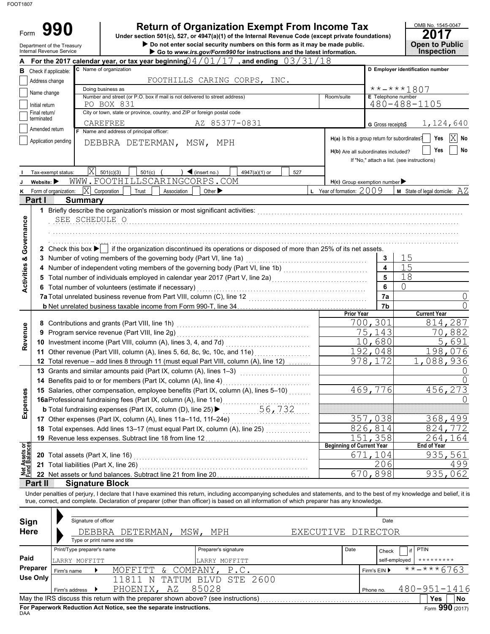| Form                           | 990                               |                            |                                                                                        |                                            | <b>Return of Organization Exempt From Income Tax</b>                                                                                                                              |        |                                                                                      |                           | OMB No. 1545-0047                                                                                                                                                          |
|--------------------------------|-----------------------------------|----------------------------|----------------------------------------------------------------------------------------|--------------------------------------------|-----------------------------------------------------------------------------------------------------------------------------------------------------------------------------------|--------|--------------------------------------------------------------------------------------|---------------------------|----------------------------------------------------------------------------------------------------------------------------------------------------------------------------|
|                                | Department of the Treasury        |                            |                                                                                        |                                            | Under section 501(c), 527, or 4947(a)(1) of the Internal Revenue Code (except private foundations)<br>Do not enter social security numbers on this form as it may be made public. |        |                                                                                      |                           | 2017<br><b>Open to Public</b>                                                                                                                                              |
|                                | Internal Revenue Service          |                            |                                                                                        |                                            | Go to www.irs.gov/Form990 for instructions and the latest information.<br>For the 2017 calendar year, or tax year beginning $0.4/01/17$ , and ending $0.3/31/18$                  |        |                                                                                      |                           | Inspection                                                                                                                                                                 |
| A                              | <b>B</b> Check if applicable:     |                            | C Name of organization                                                                 |                                            |                                                                                                                                                                                   |        |                                                                                      |                           | D Employer identification number                                                                                                                                           |
|                                | Address change                    |                            |                                                                                        |                                            | FOOTHILLS CARING CORPS, INC.                                                                                                                                                      |        |                                                                                      |                           |                                                                                                                                                                            |
|                                |                                   |                            | Doing business as                                                                      |                                            |                                                                                                                                                                                   |        |                                                                                      |                           | **-***1807                                                                                                                                                                 |
|                                | Name change                       |                            | Number and street (or P.O. box if mail is not delivered to street address)             |                                            |                                                                                                                                                                                   |        | Room/suite                                                                           | <b>E</b> Telephone number |                                                                                                                                                                            |
|                                | Initial return<br>Final return/   |                            | PO BOX 831<br>City or town, state or province, country, and ZIP or foreign postal code |                                            |                                                                                                                                                                                   |        |                                                                                      |                           | $480 - 488 - 1105$                                                                                                                                                         |
|                                | terminated                        |                            | <b>CAREFREE</b>                                                                        |                                            |                                                                                                                                                                                   |        |                                                                                      |                           |                                                                                                                                                                            |
|                                | Amended return                    |                            | F Name and address of principal officer:                                               |                                            | AZ 85377-0831                                                                                                                                                                     |        |                                                                                      | G Gross receipts\$        | 1,124,640                                                                                                                                                                  |
|                                | Application pending               |                            | DEBBRA DETERMAN, MSW, MPH                                                              |                                            |                                                                                                                                                                                   |        | H(a) Is this a group return for subordinates?<br>H(b) Are all subordinates included? |                           | X<br>Yes<br>No<br>Yes<br>No<br>If "No," attach a list. (see instructions)                                                                                                  |
|                                |                                   |                            |                                                                                        |                                            |                                                                                                                                                                                   |        |                                                                                      |                           |                                                                                                                                                                            |
|                                | Tax-exempt status:                | Χ                          | 501(c)(3)<br>501(c)<br>WWW.FOOTHILLSCARINGCORPS.COM                                    | $\blacktriangleleft$ (insert no.)          | 4947(a)(1) or                                                                                                                                                                     | 527    |                                                                                      |                           |                                                                                                                                                                            |
|                                | Website:                          | $ {\rm X} $                |                                                                                        |                                            |                                                                                                                                                                                   |        | $H(c)$ Group exemption number<br><b>L</b> Year of formation: $2009$                  |                           | <b>M</b> State of legal domicile: $AZ$                                                                                                                                     |
|                                | Form of organization:<br>Partil   | <b>Summary</b>             | Corporation<br>Trust                                                                   | Other $\blacktriangleright$<br>Association |                                                                                                                                                                                   |        |                                                                                      |                           |                                                                                                                                                                            |
| Governance                     |                                   | SEE SCHEDULE O             |                                                                                        |                                            |                                                                                                                                                                                   |        |                                                                                      |                           |                                                                                                                                                                            |
|                                |                                   |                            |                                                                                        |                                            | 2 Check this box $\blacktriangleright$   if the organization discontinued its operations or disposed of more than 25% of its net assets.                                          |        |                                                                                      |                           |                                                                                                                                                                            |
|                                |                                   |                            | 3 Number of voting members of the governing body (Part VI, line 1a)                    |                                            |                                                                                                                                                                                   |        |                                                                                      | 3                         | 15                                                                                                                                                                         |
|                                |                                   |                            |                                                                                        |                                            | 4 Number of independent voting members of the governing body (Part VI, line 1b) [[[[[[[[[[[[[[[[[[[[[[[[[[[[[                                                                     |        |                                                                                      | $\overline{\mathbf{4}}$   | 15                                                                                                                                                                         |
| <b>Activities &amp;</b>        |                                   |                            |                                                                                        |                                            | 5 Total number of individuals employed in calendar year 2017 (Part V, line 2a) [[[[[[[[[[[[[[[[[[[[[[[[[[[[[[                                                                     |        |                                                                                      | 5                         | 18                                                                                                                                                                         |
|                                |                                   |                            | 6 Total number of volunteers (estimate if necessary)                                   |                                            |                                                                                                                                                                                   |        |                                                                                      | 6                         | $\bigcap$                                                                                                                                                                  |
|                                |                                   |                            |                                                                                        |                                            |                                                                                                                                                                                   |        |                                                                                      | 7a                        | 0                                                                                                                                                                          |
|                                |                                   |                            |                                                                                        |                                            |                                                                                                                                                                                   |        | <b>Prior Year</b>                                                                    | 7b                        | <b>Current Year</b>                                                                                                                                                        |
|                                |                                   |                            |                                                                                        |                                            |                                                                                                                                                                                   |        |                                                                                      | 700,301                   | 814,287                                                                                                                                                                    |
|                                |                                   |                            | 9 Program service revenue (Part VIII, line 2g)                                         |                                            |                                                                                                                                                                                   |        |                                                                                      | 75,143                    | 70,882                                                                                                                                                                     |
| Revenue                        |                                   |                            | 10 Investment income (Part VIII, column (A), lines 3, 4, and 7d)                       |                                            |                                                                                                                                                                                   |        |                                                                                      | 10,680                    | 5.<br>691                                                                                                                                                                  |
|                                |                                   |                            |                                                                                        |                                            | 11 Other revenue (Part VIII, column (A), lines 5, 6d, 8c, 9c, 10c, and 11e)                                                                                                       |        |                                                                                      | 192,048                   | 198,076                                                                                                                                                                    |
|                                |                                   |                            |                                                                                        |                                            | 12 Total revenue - add lines 8 through 11 (must equal Part VIII, column (A), line 12)                                                                                             |        |                                                                                      | 978,172                   | 1,088,936                                                                                                                                                                  |
|                                |                                   |                            | 13 Grants and similar amounts paid (Part IX, column (A), lines 1-3)                    |                                            |                                                                                                                                                                                   |        |                                                                                      |                           | 0                                                                                                                                                                          |
|                                |                                   |                            | 14 Benefits paid to or for members (Part IX, column (A), line 4)                       |                                            |                                                                                                                                                                                   |        |                                                                                      |                           |                                                                                                                                                                            |
|                                |                                   |                            |                                                                                        |                                            | 15 Salaries, other compensation, employee benefits (Part IX, column (A), lines 5-10)                                                                                              |        |                                                                                      | 469,776                   | 456,273                                                                                                                                                                    |
| Expenses                       |                                   |                            | 16aProfessional fundraising fees (Part IX, column (A), line 11e)                       |                                            |                                                                                                                                                                                   |        |                                                                                      |                           |                                                                                                                                                                            |
|                                |                                   |                            | <b>b</b> Total fundraising expenses (Part IX, column (D), line 25) ▶                   |                                            |                                                                                                                                                                                   | 56,732 |                                                                                      |                           |                                                                                                                                                                            |
|                                |                                   |                            | 17 Other expenses (Part IX, column (A), lines 11a-11d, 11f-24e)                        |                                            |                                                                                                                                                                                   | .      |                                                                                      | 357,038<br>826,814        | 368,499                                                                                                                                                                    |
|                                |                                   |                            |                                                                                        |                                            | 18 Total expenses. Add lines 13-17 (must equal Part IX, column (A), line 25)                                                                                                      |        |                                                                                      | 151,358                   | 824,772<br>264,164                                                                                                                                                         |
|                                |                                   |                            | 19 Revenue less expenses. Subtract line 18 from line 12                                |                                            | . <b>. <u>.</u></b>                                                                                                                                                               |        | <b>Beginning of Current Year</b>                                                     |                           | End of Year                                                                                                                                                                |
| Net Assets or<br>Fund Balances | 20 Total assets (Part X, line 16) |                            |                                                                                        |                                            |                                                                                                                                                                                   |        |                                                                                      | 671,104                   | 935,561                                                                                                                                                                    |
|                                |                                   |                            | 21 Total liabilities (Part X, line 26)                                                 |                                            |                                                                                                                                                                                   |        |                                                                                      | 206                       | 499                                                                                                                                                                        |
|                                |                                   |                            |                                                                                        |                                            | 22 Net assets or fund balances. Subtract line 21 from line 20 [1, [1, [1, [1, [1, [1, [1]]]                                                                                       |        |                                                                                      | 670,898                   | 935,062                                                                                                                                                                    |
|                                | Part II                           | <b>Signature Block</b>     |                                                                                        |                                            |                                                                                                                                                                                   |        |                                                                                      |                           |                                                                                                                                                                            |
|                                |                                   |                            |                                                                                        |                                            | true, correct, and complete. Declaration of preparer (other than officer) is based on all information of which preparer has any knowledge.                                        |        |                                                                                      |                           | Under penalties of perjury, I declare that I have examined this return, including accompanying schedules and statements, and to the best of my knowledge and belief, it is |
| Sign                           |                                   | Signature of officer       |                                                                                        |                                            |                                                                                                                                                                                   |        |                                                                                      | Date                      |                                                                                                                                                                            |
| <b>Here</b>                    |                                   |                            | DEBBRA DETERMAN,                                                                       | MSW,                                       | MPH                                                                                                                                                                               |        | EXECUTIVE DIRECTOR                                                                   |                           |                                                                                                                                                                            |
|                                |                                   |                            | Type or print name and title                                                           |                                            |                                                                                                                                                                                   |        |                                                                                      |                           |                                                                                                                                                                            |
| Paid                           |                                   | Print/Type preparer's name |                                                                                        |                                            | Preparer's signature                                                                                                                                                              |        | Date                                                                                 | Check                     | <b>PTIN</b><br>if                                                                                                                                                          |
|                                | <b>Preparer</b>                   | LARRY MOFFITT              |                                                                                        |                                            | LARRY MOFFITT                                                                                                                                                                     |        |                                                                                      |                           | self-employed                                                                                                                                                              |
|                                | Firm's name<br><b>Use Only</b>    |                            | MOFFITT                                                                                | COMPANY,<br>&                              | P.C.                                                                                                                                                                              |        |                                                                                      | Firm's EIN ▶              | -***67<br>63                                                                                                                                                               |
|                                |                                   |                            | 11811<br>N<br>PHOENIX,                                                                 | 85028<br>ΑZ                                | TATUM BLVD STE 2600                                                                                                                                                               |        |                                                                                      |                           | $480 - 951 - 1416$                                                                                                                                                         |
|                                |                                   | Firm's address<br>▸        | May the IRS discuss this return with the preparer shown above? (see instructions)      |                                            |                                                                                                                                                                                   |        |                                                                                      | Phone no.                 | <b>Yes</b><br>No                                                                                                                                                           |

| Sign        |                            | Signature of officer |                                                                                   |                      |                    |      | Date          |              |                          |
|-------------|----------------------------|----------------------|-----------------------------------------------------------------------------------|----------------------|--------------------|------|---------------|--------------|--------------------------|
| <b>Here</b> |                            |                      | DEBBRA DETERMAN,                                                                  | MSW,<br>MPH          | EXECUTIVE DIRECTOR |      |               |              |                          |
|             |                            |                      | Type or print name and title                                                      |                      |                    |      |               |              |                          |
|             | Print/Type preparer's name |                      |                                                                                   | Preparer's signature |                    | Date | Check         | <b>PTIN</b>  |                          |
| Paid        | LARRY MOFFITT              |                      |                                                                                   | LARRY MOFFITT        |                    |      | self-employed | *********    |                          |
| Preparer    | Firm's name                |                      | MOFFITT<br>$\delta$                                                               | COMPANY, P.C.        |                    |      | Firm's $EIN$  | $******6763$ |                          |
| Use Only    |                            |                      | 11811<br>TATIM<br>N                                                               | BLVD STE 2600        |                    |      |               |              |                          |
|             | Firm's address             |                      | ΑZ<br>PHOENIX,                                                                    | 85028                |                    |      | Phone no.     |              | 480-951-1416             |
|             |                            |                      | May the IRS discuss this return with the preparer shown above? (see instructions) |                      |                    |      |               | Yes          | <b>No</b>                |
|             |                            |                      |                                                                                   |                      |                    |      |               |              | $\overline{\phantom{a}}$ |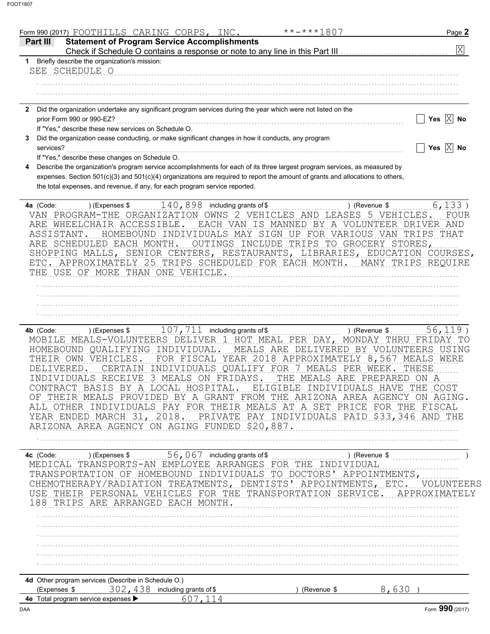|                                                           | Form 990 (2017) FOOTHILLS CARING CORPS, INC.                                                                                                                                  |                                                                                                                                                                                                     | **-***1807                                                                                                                                                                                                                                                                                                                                                                                                           | Page 2                                                                                                                          |
|-----------------------------------------------------------|-------------------------------------------------------------------------------------------------------------------------------------------------------------------------------|-----------------------------------------------------------------------------------------------------------------------------------------------------------------------------------------------------|----------------------------------------------------------------------------------------------------------------------------------------------------------------------------------------------------------------------------------------------------------------------------------------------------------------------------------------------------------------------------------------------------------------------|---------------------------------------------------------------------------------------------------------------------------------|
| Part III                                                  |                                                                                                                                                                               | <b>Statement of Program Service Accomplishments</b>                                                                                                                                                 |                                                                                                                                                                                                                                                                                                                                                                                                                      | $\overline{\mathrm{X}}$                                                                                                         |
|                                                           | 1 Briefly describe the organization's mission:                                                                                                                                |                                                                                                                                                                                                     |                                                                                                                                                                                                                                                                                                                                                                                                                      |                                                                                                                                 |
|                                                           | SEE SCHEDULE O                                                                                                                                                                |                                                                                                                                                                                                     |                                                                                                                                                                                                                                                                                                                                                                                                                      |                                                                                                                                 |
|                                                           |                                                                                                                                                                               |                                                                                                                                                                                                     |                                                                                                                                                                                                                                                                                                                                                                                                                      |                                                                                                                                 |
|                                                           |                                                                                                                                                                               |                                                                                                                                                                                                     |                                                                                                                                                                                                                                                                                                                                                                                                                      |                                                                                                                                 |
|                                                           |                                                                                                                                                                               |                                                                                                                                                                                                     | 2 Did the organization undertake any significant program services during the year which were not listed on the                                                                                                                                                                                                                                                                                                       |                                                                                                                                 |
|                                                           | prior Form 990 or 990-EZ?                                                                                                                                                     |                                                                                                                                                                                                     |                                                                                                                                                                                                                                                                                                                                                                                                                      | Yes $\overline{X}$ No                                                                                                           |
|                                                           | If "Yes," describe these new services on Schedule O.                                                                                                                          |                                                                                                                                                                                                     |                                                                                                                                                                                                                                                                                                                                                                                                                      |                                                                                                                                 |
|                                                           |                                                                                                                                                                               | Did the organization cease conducting, or make significant changes in how it conducts, any program                                                                                                  |                                                                                                                                                                                                                                                                                                                                                                                                                      |                                                                                                                                 |
| services?                                                 | If "Yes," describe these changes on Schedule O.                                                                                                                               |                                                                                                                                                                                                     |                                                                                                                                                                                                                                                                                                                                                                                                                      | Yes $\overline{X}$ No                                                                                                           |
|                                                           |                                                                                                                                                                               |                                                                                                                                                                                                     | Describe the organization's program service accomplishments for each of its three largest program services, as measured by                                                                                                                                                                                                                                                                                           |                                                                                                                                 |
|                                                           |                                                                                                                                                                               | the total expenses, and revenue, if any, for each program service reported.                                                                                                                         | expenses. Section 501(c)(3) and 501(c)(4) organizations are required to report the amount of grants and allocations to others,                                                                                                                                                                                                                                                                                       |                                                                                                                                 |
| 4a (Code:                                                 |                                                                                                                                                                               | ) (Expenses $\frac{140}{190}$ , 898 including grants of \$                                                                                                                                          |                                                                                                                                                                                                                                                                                                                                                                                                                      | 6,133)<br>) (Revenue \$                                                                                                         |
| ASSISTANT.                                                | ARE SCHEDULED EACH MONTH.<br>THE USE OF MORE THAN ONE VEHICLE.                                                                                                                |                                                                                                                                                                                                     | VAN PROGRAM-THE ORGANIZATION OWNS 2 VEHICLES AND LEASES 5 VEHICLES.<br>ARE WHEELCHAIR ACCESSIBLE. EACH VAN IS MANNED BY A VOLUNTEER DRIVER AND<br>HOMEBOUND INDIVIDUALS MAY SIGN UP FOR VARIOUS VAN TRIPS THAT<br>OUTINGS INCLUDE TRIPS TO GROCERY STORES,<br>SHOPPING MALLS, SENIOR CENTERS, RESTAURANTS, LIBRARIES, EDUCATION COURSES,<br>ETC. APPROXIMATELY 25 TRIPS SCHEDULED FOR EACH MONTH. MANY TRIPS REQUIRE | FOUR                                                                                                                            |
|                                                           |                                                                                                                                                                               |                                                                                                                                                                                                     |                                                                                                                                                                                                                                                                                                                                                                                                                      |                                                                                                                                 |
|                                                           |                                                                                                                                                                               |                                                                                                                                                                                                     |                                                                                                                                                                                                                                                                                                                                                                                                                      |                                                                                                                                 |
|                                                           |                                                                                                                                                                               |                                                                                                                                                                                                     |                                                                                                                                                                                                                                                                                                                                                                                                                      |                                                                                                                                 |
|                                                           |                                                                                                                                                                               |                                                                                                                                                                                                     |                                                                                                                                                                                                                                                                                                                                                                                                                      |                                                                                                                                 |
| 4b (Code:<br>DELIVERED.<br>CONTRACT<br>THEIR<br>ALL OTHER | ) (Expenses \$<br>HOMEBOUND QUALIFYING INDIVIDUAL.<br>THEIR OWN VEHICLES.<br><b>BASIS</b><br>BY<br>Α<br>MEALS<br>PROVI<br>INDIVIDUALS<br>YEAR ENDED MARCH 31,<br>ARIZONA AREA | $107$ , $711$ including grants of \$<br>INDIVIDUALS RECEIVE 3 MEALS ON FRIDAYS.<br>HOSPITAL<br>LOCAL<br>A GRANT<br>$1$ ) H; $1$ )<br>THEIR<br>PAY FOR<br>PRIVATE<br>2018.<br>AGENCY ON AGING FUNDED | MOBILE MEALS-VOLUNTEERS DELIVER 1 HOT MEAL PER DAY, MONDAY THRU FRIDAY<br>MEALS ARE DELIVERED BY VOLUNTEERS USING<br>FOR FISCAL YEAR 2018 APPROXIMATELY 8,567 MEALS WERE<br>CERTAIN INDIVIDUALS QUALIFY FOR 7 MEALS PER WEEK.<br>THE MEALS ARE PREPARED ON A<br>ELIGIBLE<br>INDIVIDUALS<br>FROM<br>THE.<br>ARIZONA<br>AREA<br>PRICE<br>MEALS<br>AT<br>SET<br>A<br>PAY INDIVIDUALS PAID<br>\$20,887.                  | $56, 119$ )<br>) (Revenue \$<br>TО<br>THESE<br>COST<br>HAVE<br>THE<br>AGENCY<br>ON AGING.<br>FOR THE FISCAL<br>\$33,346 AND THE |
| 4c (Code:<br>MEDICAL                                      | ) (Expenses \$<br>TRANSPORTATION OF<br>CHEMOTHERAPY/RADIATION<br>USE THEIR PERSONAL VEHICLES<br>188 TRIPS ARE<br>ARRANGED                                                     | 56, 067 including grants of \$<br>TRANSPORTS-AN EMPLOYEE ARRANGES<br>HOMEBOUND<br>TNDTVTDUALS<br>TREATMENTS,<br>FOR THE<br>EACH MONTH.                                                              | THE<br>FOR<br>INDIVIDUAL<br>DOCTORS'<br>TO<br>DENTISTS'<br>APPOINTMENTS, ETC<br>TRANSPORTATION SERVICE.                                                                                                                                                                                                                                                                                                              | ) (Revenue \$<br>APPOINTMENTS<br>VOLUNTEERS<br>APPROXIMAT                                                                       |
|                                                           |                                                                                                                                                                               |                                                                                                                                                                                                     |                                                                                                                                                                                                                                                                                                                                                                                                                      |                                                                                                                                 |
|                                                           |                                                                                                                                                                               |                                                                                                                                                                                                     |                                                                                                                                                                                                                                                                                                                                                                                                                      |                                                                                                                                 |
|                                                           |                                                                                                                                                                               |                                                                                                                                                                                                     |                                                                                                                                                                                                                                                                                                                                                                                                                      |                                                                                                                                 |
|                                                           |                                                                                                                                                                               |                                                                                                                                                                                                     |                                                                                                                                                                                                                                                                                                                                                                                                                      |                                                                                                                                 |
|                                                           |                                                                                                                                                                               |                                                                                                                                                                                                     |                                                                                                                                                                                                                                                                                                                                                                                                                      |                                                                                                                                 |
|                                                           |                                                                                                                                                                               |                                                                                                                                                                                                     |                                                                                                                                                                                                                                                                                                                                                                                                                      |                                                                                                                                 |
| (Expenses \$                                              | 4d Other program services (Describe in Schedule O.)                                                                                                                           | 302, 438 including grants of \$                                                                                                                                                                     | (Revenue \$                                                                                                                                                                                                                                                                                                                                                                                                          | 8,630                                                                                                                           |
|                                                           | 4e Total program service expenses                                                                                                                                             | 607,114                                                                                                                                                                                             |                                                                                                                                                                                                                                                                                                                                                                                                                      |                                                                                                                                 |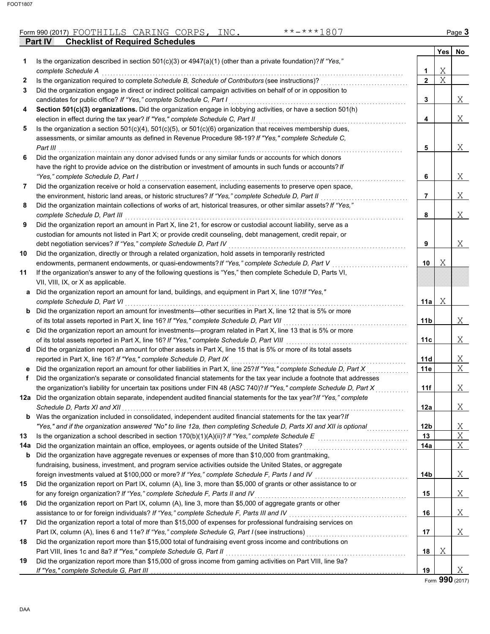## Form 990 (2017) Page **3** FOOTHILLS CARING CORPS, INC. \*\*-\*\*\*1807

**Part IV Checklist of Required Schedules**

| Is the organization described in section 501(c)(3) or $4947(a)(1)$ (other than a private foundation)? If "Yes,"<br>1<br>Χ<br>complete Schedule A<br>1<br>X<br>$\mathbf{2}$<br>Is the organization required to complete Schedule B, Schedule of Contributors (see instructions)?<br>2<br>Did the organization engage in direct or indirect political campaign activities on behalf of or in opposition to<br>3<br>Χ<br>candidates for public office? If "Yes," complete Schedule C, Part I<br>3<br>Section 501(c)(3) organizations. Did the organization engage in lobbying activities, or have a section 501(h)<br>4<br>Χ<br>election in effect during the tax year? If "Yes," complete Schedule C, Part II<br>4<br>Is the organization a section $501(c)(4)$ , $501(c)(5)$ , or $501(c)(6)$ organization that receives membership dues,<br>5<br>assessments, or similar amounts as defined in Revenue Procedure 98-19? If "Yes," complete Schedule C,<br>5<br>Χ<br>Part III<br>Did the organization maintain any donor advised funds or any similar funds or accounts for which donors<br>6<br>have the right to provide advice on the distribution or investment of amounts in such funds or accounts? If<br>Χ<br>"Yes," complete Schedule D, Part I<br>6<br>Did the organization receive or hold a conservation easement, including easements to preserve open space,<br>7<br>Χ<br>the environment, historic land areas, or historic structures? If "Yes," complete Schedule D, Part II<br>7<br>Did the organization maintain collections of works of art, historical treasures, or other similar assets? If "Yes,"<br>8<br>Χ<br>8<br>complete Schedule D, Part III<br>Did the organization report an amount in Part X, line 21, for escrow or custodial account liability, serve as a<br>9<br>custodian for amounts not listed in Part X; or provide credit counseling, debt management, credit repair, or<br>Χ<br>debt negotiation services? If "Yes," complete Schedule D, Part IV<br>9<br>Did the organization, directly or through a related organization, hold assets in temporarily restricted<br>10<br>Χ<br>endowments, permanent endowments, or quasi-endowments? If "Yes," complete Schedule D, Part V<br>10<br>If the organization's answer to any of the following questions is "Yes," then complete Schedule D, Parts VI,<br>11<br>VII, VIII, IX, or X as applicable.<br>Did the organization report an amount for land, buildings, and equipment in Part X, line 10?If "Yes,"<br>a<br>Χ<br>complete Schedule D, Part VI<br>11a<br>Did the organization report an amount for investments—other securities in Part X, line 12 that is 5% or more<br>b<br>Χ<br>of its total assets reported in Part X, line 16? If "Yes," complete Schedule D, Part VII<br>11b<br>Did the organization report an amount for investments—program related in Part X, line 13 that is 5% or more<br>Χ<br>of its total assets reported in Part X, line 16? If "Yes," complete Schedule D, Part VIII<br>11c<br>Did the organization report an amount for other assets in Part X, line 15 that is 5% or more of its total assets<br>d<br>Χ<br>reported in Part X, line 16? If "Yes," complete Schedule D, Part IX<br>11d<br>X<br>Did the organization report an amount for other liabilities in Part X, line 25? If "Yes," complete Schedule D, Part X<br>11e<br>е<br>Did the organization's separate or consolidated financial statements for the tax year include a footnote that addresses<br>f<br>Χ<br>the organization's liability for uncertain tax positions under FIN 48 (ASC 740)? If "Yes," complete Schedule D, Part X<br>11f<br>12a Did the organization obtain separate, independent audited financial statements for the tax year?If "Yes," complete<br>12a<br>Χ<br>Was the organization included in consolidated, independent audited financial statements for the tax year? If<br>b<br>X<br>"Yes," and if the organization answered "No" to line 12a, then completing Schedule D, Parts XI and XII is optional<br>12 <sub>b</sub><br>Χ<br>Is the organization a school described in section $170(b)(1)(A)(ii)?$ If "Yes," complete Schedule E<br>13<br>13<br>Χ<br>Did the organization maintain an office, employees, or agents outside of the United States?<br>14a<br>Did the organization have aggregate revenues or expenses of more than \$10,000 from grantmaking,<br>b<br>fundraising, business, investment, and program service activities outside the United States, or aggregate<br>Χ<br>foreign investments valued at \$100,000 or more? If "Yes," complete Schedule F, Parts I and IV<br>14b<br>Did the organization report on Part IX, column (A), line 3, more than \$5,000 of grants or other assistance to or<br>15<br>15<br>Χ<br>for any foreign organization? If "Yes," complete Schedule F, Parts II and IV<br>Did the organization report on Part IX, column (A), line 3, more than \$5,000 of aggregate grants or other<br>16<br>Χ<br>assistance to or for foreign individuals? If "Yes," complete Schedule F, Parts III and IV<br>16<br>Did the organization report a total of more than \$15,000 of expenses for professional fundraising services on<br>17<br>Χ<br>Part IX, column (A), lines 6 and 11e? If "Yes," complete Schedule G, Part I (see instructions)<br>17<br>Did the organization report more than \$15,000 total of fundraising event gross income and contributions on<br>18<br>Χ<br>Part VIII, lines 1c and 8a? If "Yes," complete Schedule G, Part II<br>18<br>Did the organization report more than \$15,000 of gross income from gaming activities on Part VIII, line 9a?<br>19<br>Χ<br>19<br>If "Yes," complete Schedule G, Part III |     |  | Yes | No |
|-------------------------------------------------------------------------------------------------------------------------------------------------------------------------------------------------------------------------------------------------------------------------------------------------------------------------------------------------------------------------------------------------------------------------------------------------------------------------------------------------------------------------------------------------------------------------------------------------------------------------------------------------------------------------------------------------------------------------------------------------------------------------------------------------------------------------------------------------------------------------------------------------------------------------------------------------------------------------------------------------------------------------------------------------------------------------------------------------------------------------------------------------------------------------------------------------------------------------------------------------------------------------------------------------------------------------------------------------------------------------------------------------------------------------------------------------------------------------------------------------------------------------------------------------------------------------------------------------------------------------------------------------------------------------------------------------------------------------------------------------------------------------------------------------------------------------------------------------------------------------------------------------------------------------------------------------------------------------------------------------------------------------------------------------------------------------------------------------------------------------------------------------------------------------------------------------------------------------------------------------------------------------------------------------------------------------------------------------------------------------------------------------------------------------------------------------------------------------------------------------------------------------------------------------------------------------------------------------------------------------------------------------------------------------------------------------------------------------------------------------------------------------------------------------------------------------------------------------------------------------------------------------------------------------------------------------------------------------------------------------------------------------------------------------------------------------------------------------------------------------------------------------------------------------------------------------------------------------------------------------------------------------------------------------------------------------------------------------------------------------------------------------------------------------------------------------------------------------------------------------------------------------------------------------------------------------------------------------------------------------------------------------------------------------------------------------------------------------------------------------------------------------------------------------------------------------------------------------------------------------------------------------------------------------------------------------------------------------------------------------------------------------------------------------------------------------------------------------------------------------------------------------------------------------------------------------------------------------------------------------------------------------------------------------------------------------------------------------------------------------------------------------------------------------------------------------------------------------------------------------------------------------------------------------------------------------------------------------------------------------------------------------------------------------------------------------------------------------------------------------------------------------------------------------------------------------------------------------------------------------------------------------------------------------------------------------------------------------------------------------------------------------------------------------------------------------------------------------------------------------------------------------------------------------------------------------------------------------------------------------------------------------------------------------------------------------------------------------------------------------------------------------------------------------------------------------------------------------------------------------------------------------------------------------------------------------------------------------------------------------------------------------------------------------------------------|-----|--|-----|----|
|                                                                                                                                                                                                                                                                                                                                                                                                                                                                                                                                                                                                                                                                                                                                                                                                                                                                                                                                                                                                                                                                                                                                                                                                                                                                                                                                                                                                                                                                                                                                                                                                                                                                                                                                                                                                                                                                                                                                                                                                                                                                                                                                                                                                                                                                                                                                                                                                                                                                                                                                                                                                                                                                                                                                                                                                                                                                                                                                                                                                                                                                                                                                                                                                                                                                                                                                                                                                                                                                                                                                                                                                                                                                                                                                                                                                                                                                                                                                                                                                                                                                                                                                                                                                                                                                                                                                                                                                                                                                                                                                                                                                                                                                                                                                                                                                                                                                                                                                                                                                                                                                                                                                                                                                                                                                                                                                                                                                                                                                                                                                                                                                                                                                                           |     |  |     |    |
|                                                                                                                                                                                                                                                                                                                                                                                                                                                                                                                                                                                                                                                                                                                                                                                                                                                                                                                                                                                                                                                                                                                                                                                                                                                                                                                                                                                                                                                                                                                                                                                                                                                                                                                                                                                                                                                                                                                                                                                                                                                                                                                                                                                                                                                                                                                                                                                                                                                                                                                                                                                                                                                                                                                                                                                                                                                                                                                                                                                                                                                                                                                                                                                                                                                                                                                                                                                                                                                                                                                                                                                                                                                                                                                                                                                                                                                                                                                                                                                                                                                                                                                                                                                                                                                                                                                                                                                                                                                                                                                                                                                                                                                                                                                                                                                                                                                                                                                                                                                                                                                                                                                                                                                                                                                                                                                                                                                                                                                                                                                                                                                                                                                                                           |     |  |     |    |
|                                                                                                                                                                                                                                                                                                                                                                                                                                                                                                                                                                                                                                                                                                                                                                                                                                                                                                                                                                                                                                                                                                                                                                                                                                                                                                                                                                                                                                                                                                                                                                                                                                                                                                                                                                                                                                                                                                                                                                                                                                                                                                                                                                                                                                                                                                                                                                                                                                                                                                                                                                                                                                                                                                                                                                                                                                                                                                                                                                                                                                                                                                                                                                                                                                                                                                                                                                                                                                                                                                                                                                                                                                                                                                                                                                                                                                                                                                                                                                                                                                                                                                                                                                                                                                                                                                                                                                                                                                                                                                                                                                                                                                                                                                                                                                                                                                                                                                                                                                                                                                                                                                                                                                                                                                                                                                                                                                                                                                                                                                                                                                                                                                                                                           |     |  |     |    |
|                                                                                                                                                                                                                                                                                                                                                                                                                                                                                                                                                                                                                                                                                                                                                                                                                                                                                                                                                                                                                                                                                                                                                                                                                                                                                                                                                                                                                                                                                                                                                                                                                                                                                                                                                                                                                                                                                                                                                                                                                                                                                                                                                                                                                                                                                                                                                                                                                                                                                                                                                                                                                                                                                                                                                                                                                                                                                                                                                                                                                                                                                                                                                                                                                                                                                                                                                                                                                                                                                                                                                                                                                                                                                                                                                                                                                                                                                                                                                                                                                                                                                                                                                                                                                                                                                                                                                                                                                                                                                                                                                                                                                                                                                                                                                                                                                                                                                                                                                                                                                                                                                                                                                                                                                                                                                                                                                                                                                                                                                                                                                                                                                                                                                           |     |  |     |    |
|                                                                                                                                                                                                                                                                                                                                                                                                                                                                                                                                                                                                                                                                                                                                                                                                                                                                                                                                                                                                                                                                                                                                                                                                                                                                                                                                                                                                                                                                                                                                                                                                                                                                                                                                                                                                                                                                                                                                                                                                                                                                                                                                                                                                                                                                                                                                                                                                                                                                                                                                                                                                                                                                                                                                                                                                                                                                                                                                                                                                                                                                                                                                                                                                                                                                                                                                                                                                                                                                                                                                                                                                                                                                                                                                                                                                                                                                                                                                                                                                                                                                                                                                                                                                                                                                                                                                                                                                                                                                                                                                                                                                                                                                                                                                                                                                                                                                                                                                                                                                                                                                                                                                                                                                                                                                                                                                                                                                                                                                                                                                                                                                                                                                                           |     |  |     |    |
|                                                                                                                                                                                                                                                                                                                                                                                                                                                                                                                                                                                                                                                                                                                                                                                                                                                                                                                                                                                                                                                                                                                                                                                                                                                                                                                                                                                                                                                                                                                                                                                                                                                                                                                                                                                                                                                                                                                                                                                                                                                                                                                                                                                                                                                                                                                                                                                                                                                                                                                                                                                                                                                                                                                                                                                                                                                                                                                                                                                                                                                                                                                                                                                                                                                                                                                                                                                                                                                                                                                                                                                                                                                                                                                                                                                                                                                                                                                                                                                                                                                                                                                                                                                                                                                                                                                                                                                                                                                                                                                                                                                                                                                                                                                                                                                                                                                                                                                                                                                                                                                                                                                                                                                                                                                                                                                                                                                                                                                                                                                                                                                                                                                                                           |     |  |     |    |
|                                                                                                                                                                                                                                                                                                                                                                                                                                                                                                                                                                                                                                                                                                                                                                                                                                                                                                                                                                                                                                                                                                                                                                                                                                                                                                                                                                                                                                                                                                                                                                                                                                                                                                                                                                                                                                                                                                                                                                                                                                                                                                                                                                                                                                                                                                                                                                                                                                                                                                                                                                                                                                                                                                                                                                                                                                                                                                                                                                                                                                                                                                                                                                                                                                                                                                                                                                                                                                                                                                                                                                                                                                                                                                                                                                                                                                                                                                                                                                                                                                                                                                                                                                                                                                                                                                                                                                                                                                                                                                                                                                                                                                                                                                                                                                                                                                                                                                                                                                                                                                                                                                                                                                                                                                                                                                                                                                                                                                                                                                                                                                                                                                                                                           |     |  |     |    |
|                                                                                                                                                                                                                                                                                                                                                                                                                                                                                                                                                                                                                                                                                                                                                                                                                                                                                                                                                                                                                                                                                                                                                                                                                                                                                                                                                                                                                                                                                                                                                                                                                                                                                                                                                                                                                                                                                                                                                                                                                                                                                                                                                                                                                                                                                                                                                                                                                                                                                                                                                                                                                                                                                                                                                                                                                                                                                                                                                                                                                                                                                                                                                                                                                                                                                                                                                                                                                                                                                                                                                                                                                                                                                                                                                                                                                                                                                                                                                                                                                                                                                                                                                                                                                                                                                                                                                                                                                                                                                                                                                                                                                                                                                                                                                                                                                                                                                                                                                                                                                                                                                                                                                                                                                                                                                                                                                                                                                                                                                                                                                                                                                                                                                           |     |  |     |    |
|                                                                                                                                                                                                                                                                                                                                                                                                                                                                                                                                                                                                                                                                                                                                                                                                                                                                                                                                                                                                                                                                                                                                                                                                                                                                                                                                                                                                                                                                                                                                                                                                                                                                                                                                                                                                                                                                                                                                                                                                                                                                                                                                                                                                                                                                                                                                                                                                                                                                                                                                                                                                                                                                                                                                                                                                                                                                                                                                                                                                                                                                                                                                                                                                                                                                                                                                                                                                                                                                                                                                                                                                                                                                                                                                                                                                                                                                                                                                                                                                                                                                                                                                                                                                                                                                                                                                                                                                                                                                                                                                                                                                                                                                                                                                                                                                                                                                                                                                                                                                                                                                                                                                                                                                                                                                                                                                                                                                                                                                                                                                                                                                                                                                                           |     |  |     |    |
|                                                                                                                                                                                                                                                                                                                                                                                                                                                                                                                                                                                                                                                                                                                                                                                                                                                                                                                                                                                                                                                                                                                                                                                                                                                                                                                                                                                                                                                                                                                                                                                                                                                                                                                                                                                                                                                                                                                                                                                                                                                                                                                                                                                                                                                                                                                                                                                                                                                                                                                                                                                                                                                                                                                                                                                                                                                                                                                                                                                                                                                                                                                                                                                                                                                                                                                                                                                                                                                                                                                                                                                                                                                                                                                                                                                                                                                                                                                                                                                                                                                                                                                                                                                                                                                                                                                                                                                                                                                                                                                                                                                                                                                                                                                                                                                                                                                                                                                                                                                                                                                                                                                                                                                                                                                                                                                                                                                                                                                                                                                                                                                                                                                                                           |     |  |     |    |
|                                                                                                                                                                                                                                                                                                                                                                                                                                                                                                                                                                                                                                                                                                                                                                                                                                                                                                                                                                                                                                                                                                                                                                                                                                                                                                                                                                                                                                                                                                                                                                                                                                                                                                                                                                                                                                                                                                                                                                                                                                                                                                                                                                                                                                                                                                                                                                                                                                                                                                                                                                                                                                                                                                                                                                                                                                                                                                                                                                                                                                                                                                                                                                                                                                                                                                                                                                                                                                                                                                                                                                                                                                                                                                                                                                                                                                                                                                                                                                                                                                                                                                                                                                                                                                                                                                                                                                                                                                                                                                                                                                                                                                                                                                                                                                                                                                                                                                                                                                                                                                                                                                                                                                                                                                                                                                                                                                                                                                                                                                                                                                                                                                                                                           |     |  |     |    |
|                                                                                                                                                                                                                                                                                                                                                                                                                                                                                                                                                                                                                                                                                                                                                                                                                                                                                                                                                                                                                                                                                                                                                                                                                                                                                                                                                                                                                                                                                                                                                                                                                                                                                                                                                                                                                                                                                                                                                                                                                                                                                                                                                                                                                                                                                                                                                                                                                                                                                                                                                                                                                                                                                                                                                                                                                                                                                                                                                                                                                                                                                                                                                                                                                                                                                                                                                                                                                                                                                                                                                                                                                                                                                                                                                                                                                                                                                                                                                                                                                                                                                                                                                                                                                                                                                                                                                                                                                                                                                                                                                                                                                                                                                                                                                                                                                                                                                                                                                                                                                                                                                                                                                                                                                                                                                                                                                                                                                                                                                                                                                                                                                                                                                           |     |  |     |    |
|                                                                                                                                                                                                                                                                                                                                                                                                                                                                                                                                                                                                                                                                                                                                                                                                                                                                                                                                                                                                                                                                                                                                                                                                                                                                                                                                                                                                                                                                                                                                                                                                                                                                                                                                                                                                                                                                                                                                                                                                                                                                                                                                                                                                                                                                                                                                                                                                                                                                                                                                                                                                                                                                                                                                                                                                                                                                                                                                                                                                                                                                                                                                                                                                                                                                                                                                                                                                                                                                                                                                                                                                                                                                                                                                                                                                                                                                                                                                                                                                                                                                                                                                                                                                                                                                                                                                                                                                                                                                                                                                                                                                                                                                                                                                                                                                                                                                                                                                                                                                                                                                                                                                                                                                                                                                                                                                                                                                                                                                                                                                                                                                                                                                                           |     |  |     |    |
|                                                                                                                                                                                                                                                                                                                                                                                                                                                                                                                                                                                                                                                                                                                                                                                                                                                                                                                                                                                                                                                                                                                                                                                                                                                                                                                                                                                                                                                                                                                                                                                                                                                                                                                                                                                                                                                                                                                                                                                                                                                                                                                                                                                                                                                                                                                                                                                                                                                                                                                                                                                                                                                                                                                                                                                                                                                                                                                                                                                                                                                                                                                                                                                                                                                                                                                                                                                                                                                                                                                                                                                                                                                                                                                                                                                                                                                                                                                                                                                                                                                                                                                                                                                                                                                                                                                                                                                                                                                                                                                                                                                                                                                                                                                                                                                                                                                                                                                                                                                                                                                                                                                                                                                                                                                                                                                                                                                                                                                                                                                                                                                                                                                                                           |     |  |     |    |
|                                                                                                                                                                                                                                                                                                                                                                                                                                                                                                                                                                                                                                                                                                                                                                                                                                                                                                                                                                                                                                                                                                                                                                                                                                                                                                                                                                                                                                                                                                                                                                                                                                                                                                                                                                                                                                                                                                                                                                                                                                                                                                                                                                                                                                                                                                                                                                                                                                                                                                                                                                                                                                                                                                                                                                                                                                                                                                                                                                                                                                                                                                                                                                                                                                                                                                                                                                                                                                                                                                                                                                                                                                                                                                                                                                                                                                                                                                                                                                                                                                                                                                                                                                                                                                                                                                                                                                                                                                                                                                                                                                                                                                                                                                                                                                                                                                                                                                                                                                                                                                                                                                                                                                                                                                                                                                                                                                                                                                                                                                                                                                                                                                                                                           |     |  |     |    |
|                                                                                                                                                                                                                                                                                                                                                                                                                                                                                                                                                                                                                                                                                                                                                                                                                                                                                                                                                                                                                                                                                                                                                                                                                                                                                                                                                                                                                                                                                                                                                                                                                                                                                                                                                                                                                                                                                                                                                                                                                                                                                                                                                                                                                                                                                                                                                                                                                                                                                                                                                                                                                                                                                                                                                                                                                                                                                                                                                                                                                                                                                                                                                                                                                                                                                                                                                                                                                                                                                                                                                                                                                                                                                                                                                                                                                                                                                                                                                                                                                                                                                                                                                                                                                                                                                                                                                                                                                                                                                                                                                                                                                                                                                                                                                                                                                                                                                                                                                                                                                                                                                                                                                                                                                                                                                                                                                                                                                                                                                                                                                                                                                                                                                           |     |  |     |    |
|                                                                                                                                                                                                                                                                                                                                                                                                                                                                                                                                                                                                                                                                                                                                                                                                                                                                                                                                                                                                                                                                                                                                                                                                                                                                                                                                                                                                                                                                                                                                                                                                                                                                                                                                                                                                                                                                                                                                                                                                                                                                                                                                                                                                                                                                                                                                                                                                                                                                                                                                                                                                                                                                                                                                                                                                                                                                                                                                                                                                                                                                                                                                                                                                                                                                                                                                                                                                                                                                                                                                                                                                                                                                                                                                                                                                                                                                                                                                                                                                                                                                                                                                                                                                                                                                                                                                                                                                                                                                                                                                                                                                                                                                                                                                                                                                                                                                                                                                                                                                                                                                                                                                                                                                                                                                                                                                                                                                                                                                                                                                                                                                                                                                                           |     |  |     |    |
|                                                                                                                                                                                                                                                                                                                                                                                                                                                                                                                                                                                                                                                                                                                                                                                                                                                                                                                                                                                                                                                                                                                                                                                                                                                                                                                                                                                                                                                                                                                                                                                                                                                                                                                                                                                                                                                                                                                                                                                                                                                                                                                                                                                                                                                                                                                                                                                                                                                                                                                                                                                                                                                                                                                                                                                                                                                                                                                                                                                                                                                                                                                                                                                                                                                                                                                                                                                                                                                                                                                                                                                                                                                                                                                                                                                                                                                                                                                                                                                                                                                                                                                                                                                                                                                                                                                                                                                                                                                                                                                                                                                                                                                                                                                                                                                                                                                                                                                                                                                                                                                                                                                                                                                                                                                                                                                                                                                                                                                                                                                                                                                                                                                                                           |     |  |     |    |
|                                                                                                                                                                                                                                                                                                                                                                                                                                                                                                                                                                                                                                                                                                                                                                                                                                                                                                                                                                                                                                                                                                                                                                                                                                                                                                                                                                                                                                                                                                                                                                                                                                                                                                                                                                                                                                                                                                                                                                                                                                                                                                                                                                                                                                                                                                                                                                                                                                                                                                                                                                                                                                                                                                                                                                                                                                                                                                                                                                                                                                                                                                                                                                                                                                                                                                                                                                                                                                                                                                                                                                                                                                                                                                                                                                                                                                                                                                                                                                                                                                                                                                                                                                                                                                                                                                                                                                                                                                                                                                                                                                                                                                                                                                                                                                                                                                                                                                                                                                                                                                                                                                                                                                                                                                                                                                                                                                                                                                                                                                                                                                                                                                                                                           |     |  |     |    |
|                                                                                                                                                                                                                                                                                                                                                                                                                                                                                                                                                                                                                                                                                                                                                                                                                                                                                                                                                                                                                                                                                                                                                                                                                                                                                                                                                                                                                                                                                                                                                                                                                                                                                                                                                                                                                                                                                                                                                                                                                                                                                                                                                                                                                                                                                                                                                                                                                                                                                                                                                                                                                                                                                                                                                                                                                                                                                                                                                                                                                                                                                                                                                                                                                                                                                                                                                                                                                                                                                                                                                                                                                                                                                                                                                                                                                                                                                                                                                                                                                                                                                                                                                                                                                                                                                                                                                                                                                                                                                                                                                                                                                                                                                                                                                                                                                                                                                                                                                                                                                                                                                                                                                                                                                                                                                                                                                                                                                                                                                                                                                                                                                                                                                           |     |  |     |    |
|                                                                                                                                                                                                                                                                                                                                                                                                                                                                                                                                                                                                                                                                                                                                                                                                                                                                                                                                                                                                                                                                                                                                                                                                                                                                                                                                                                                                                                                                                                                                                                                                                                                                                                                                                                                                                                                                                                                                                                                                                                                                                                                                                                                                                                                                                                                                                                                                                                                                                                                                                                                                                                                                                                                                                                                                                                                                                                                                                                                                                                                                                                                                                                                                                                                                                                                                                                                                                                                                                                                                                                                                                                                                                                                                                                                                                                                                                                                                                                                                                                                                                                                                                                                                                                                                                                                                                                                                                                                                                                                                                                                                                                                                                                                                                                                                                                                                                                                                                                                                                                                                                                                                                                                                                                                                                                                                                                                                                                                                                                                                                                                                                                                                                           |     |  |     |    |
|                                                                                                                                                                                                                                                                                                                                                                                                                                                                                                                                                                                                                                                                                                                                                                                                                                                                                                                                                                                                                                                                                                                                                                                                                                                                                                                                                                                                                                                                                                                                                                                                                                                                                                                                                                                                                                                                                                                                                                                                                                                                                                                                                                                                                                                                                                                                                                                                                                                                                                                                                                                                                                                                                                                                                                                                                                                                                                                                                                                                                                                                                                                                                                                                                                                                                                                                                                                                                                                                                                                                                                                                                                                                                                                                                                                                                                                                                                                                                                                                                                                                                                                                                                                                                                                                                                                                                                                                                                                                                                                                                                                                                                                                                                                                                                                                                                                                                                                                                                                                                                                                                                                                                                                                                                                                                                                                                                                                                                                                                                                                                                                                                                                                                           |     |  |     |    |
|                                                                                                                                                                                                                                                                                                                                                                                                                                                                                                                                                                                                                                                                                                                                                                                                                                                                                                                                                                                                                                                                                                                                                                                                                                                                                                                                                                                                                                                                                                                                                                                                                                                                                                                                                                                                                                                                                                                                                                                                                                                                                                                                                                                                                                                                                                                                                                                                                                                                                                                                                                                                                                                                                                                                                                                                                                                                                                                                                                                                                                                                                                                                                                                                                                                                                                                                                                                                                                                                                                                                                                                                                                                                                                                                                                                                                                                                                                                                                                                                                                                                                                                                                                                                                                                                                                                                                                                                                                                                                                                                                                                                                                                                                                                                                                                                                                                                                                                                                                                                                                                                                                                                                                                                                                                                                                                                                                                                                                                                                                                                                                                                                                                                                           |     |  |     |    |
|                                                                                                                                                                                                                                                                                                                                                                                                                                                                                                                                                                                                                                                                                                                                                                                                                                                                                                                                                                                                                                                                                                                                                                                                                                                                                                                                                                                                                                                                                                                                                                                                                                                                                                                                                                                                                                                                                                                                                                                                                                                                                                                                                                                                                                                                                                                                                                                                                                                                                                                                                                                                                                                                                                                                                                                                                                                                                                                                                                                                                                                                                                                                                                                                                                                                                                                                                                                                                                                                                                                                                                                                                                                                                                                                                                                                                                                                                                                                                                                                                                                                                                                                                                                                                                                                                                                                                                                                                                                                                                                                                                                                                                                                                                                                                                                                                                                                                                                                                                                                                                                                                                                                                                                                                                                                                                                                                                                                                                                                                                                                                                                                                                                                                           |     |  |     |    |
|                                                                                                                                                                                                                                                                                                                                                                                                                                                                                                                                                                                                                                                                                                                                                                                                                                                                                                                                                                                                                                                                                                                                                                                                                                                                                                                                                                                                                                                                                                                                                                                                                                                                                                                                                                                                                                                                                                                                                                                                                                                                                                                                                                                                                                                                                                                                                                                                                                                                                                                                                                                                                                                                                                                                                                                                                                                                                                                                                                                                                                                                                                                                                                                                                                                                                                                                                                                                                                                                                                                                                                                                                                                                                                                                                                                                                                                                                                                                                                                                                                                                                                                                                                                                                                                                                                                                                                                                                                                                                                                                                                                                                                                                                                                                                                                                                                                                                                                                                                                                                                                                                                                                                                                                                                                                                                                                                                                                                                                                                                                                                                                                                                                                                           |     |  |     |    |
|                                                                                                                                                                                                                                                                                                                                                                                                                                                                                                                                                                                                                                                                                                                                                                                                                                                                                                                                                                                                                                                                                                                                                                                                                                                                                                                                                                                                                                                                                                                                                                                                                                                                                                                                                                                                                                                                                                                                                                                                                                                                                                                                                                                                                                                                                                                                                                                                                                                                                                                                                                                                                                                                                                                                                                                                                                                                                                                                                                                                                                                                                                                                                                                                                                                                                                                                                                                                                                                                                                                                                                                                                                                                                                                                                                                                                                                                                                                                                                                                                                                                                                                                                                                                                                                                                                                                                                                                                                                                                                                                                                                                                                                                                                                                                                                                                                                                                                                                                                                                                                                                                                                                                                                                                                                                                                                                                                                                                                                                                                                                                                                                                                                                                           |     |  |     |    |
|                                                                                                                                                                                                                                                                                                                                                                                                                                                                                                                                                                                                                                                                                                                                                                                                                                                                                                                                                                                                                                                                                                                                                                                                                                                                                                                                                                                                                                                                                                                                                                                                                                                                                                                                                                                                                                                                                                                                                                                                                                                                                                                                                                                                                                                                                                                                                                                                                                                                                                                                                                                                                                                                                                                                                                                                                                                                                                                                                                                                                                                                                                                                                                                                                                                                                                                                                                                                                                                                                                                                                                                                                                                                                                                                                                                                                                                                                                                                                                                                                                                                                                                                                                                                                                                                                                                                                                                                                                                                                                                                                                                                                                                                                                                                                                                                                                                                                                                                                                                                                                                                                                                                                                                                                                                                                                                                                                                                                                                                                                                                                                                                                                                                                           |     |  |     |    |
|                                                                                                                                                                                                                                                                                                                                                                                                                                                                                                                                                                                                                                                                                                                                                                                                                                                                                                                                                                                                                                                                                                                                                                                                                                                                                                                                                                                                                                                                                                                                                                                                                                                                                                                                                                                                                                                                                                                                                                                                                                                                                                                                                                                                                                                                                                                                                                                                                                                                                                                                                                                                                                                                                                                                                                                                                                                                                                                                                                                                                                                                                                                                                                                                                                                                                                                                                                                                                                                                                                                                                                                                                                                                                                                                                                                                                                                                                                                                                                                                                                                                                                                                                                                                                                                                                                                                                                                                                                                                                                                                                                                                                                                                                                                                                                                                                                                                                                                                                                                                                                                                                                                                                                                                                                                                                                                                                                                                                                                                                                                                                                                                                                                                                           |     |  |     |    |
|                                                                                                                                                                                                                                                                                                                                                                                                                                                                                                                                                                                                                                                                                                                                                                                                                                                                                                                                                                                                                                                                                                                                                                                                                                                                                                                                                                                                                                                                                                                                                                                                                                                                                                                                                                                                                                                                                                                                                                                                                                                                                                                                                                                                                                                                                                                                                                                                                                                                                                                                                                                                                                                                                                                                                                                                                                                                                                                                                                                                                                                                                                                                                                                                                                                                                                                                                                                                                                                                                                                                                                                                                                                                                                                                                                                                                                                                                                                                                                                                                                                                                                                                                                                                                                                                                                                                                                                                                                                                                                                                                                                                                                                                                                                                                                                                                                                                                                                                                                                                                                                                                                                                                                                                                                                                                                                                                                                                                                                                                                                                                                                                                                                                                           |     |  |     |    |
|                                                                                                                                                                                                                                                                                                                                                                                                                                                                                                                                                                                                                                                                                                                                                                                                                                                                                                                                                                                                                                                                                                                                                                                                                                                                                                                                                                                                                                                                                                                                                                                                                                                                                                                                                                                                                                                                                                                                                                                                                                                                                                                                                                                                                                                                                                                                                                                                                                                                                                                                                                                                                                                                                                                                                                                                                                                                                                                                                                                                                                                                                                                                                                                                                                                                                                                                                                                                                                                                                                                                                                                                                                                                                                                                                                                                                                                                                                                                                                                                                                                                                                                                                                                                                                                                                                                                                                                                                                                                                                                                                                                                                                                                                                                                                                                                                                                                                                                                                                                                                                                                                                                                                                                                                                                                                                                                                                                                                                                                                                                                                                                                                                                                                           |     |  |     |    |
|                                                                                                                                                                                                                                                                                                                                                                                                                                                                                                                                                                                                                                                                                                                                                                                                                                                                                                                                                                                                                                                                                                                                                                                                                                                                                                                                                                                                                                                                                                                                                                                                                                                                                                                                                                                                                                                                                                                                                                                                                                                                                                                                                                                                                                                                                                                                                                                                                                                                                                                                                                                                                                                                                                                                                                                                                                                                                                                                                                                                                                                                                                                                                                                                                                                                                                                                                                                                                                                                                                                                                                                                                                                                                                                                                                                                                                                                                                                                                                                                                                                                                                                                                                                                                                                                                                                                                                                                                                                                                                                                                                                                                                                                                                                                                                                                                                                                                                                                                                                                                                                                                                                                                                                                                                                                                                                                                                                                                                                                                                                                                                                                                                                                                           |     |  |     |    |
|                                                                                                                                                                                                                                                                                                                                                                                                                                                                                                                                                                                                                                                                                                                                                                                                                                                                                                                                                                                                                                                                                                                                                                                                                                                                                                                                                                                                                                                                                                                                                                                                                                                                                                                                                                                                                                                                                                                                                                                                                                                                                                                                                                                                                                                                                                                                                                                                                                                                                                                                                                                                                                                                                                                                                                                                                                                                                                                                                                                                                                                                                                                                                                                                                                                                                                                                                                                                                                                                                                                                                                                                                                                                                                                                                                                                                                                                                                                                                                                                                                                                                                                                                                                                                                                                                                                                                                                                                                                                                                                                                                                                                                                                                                                                                                                                                                                                                                                                                                                                                                                                                                                                                                                                                                                                                                                                                                                                                                                                                                                                                                                                                                                                                           |     |  |     |    |
|                                                                                                                                                                                                                                                                                                                                                                                                                                                                                                                                                                                                                                                                                                                                                                                                                                                                                                                                                                                                                                                                                                                                                                                                                                                                                                                                                                                                                                                                                                                                                                                                                                                                                                                                                                                                                                                                                                                                                                                                                                                                                                                                                                                                                                                                                                                                                                                                                                                                                                                                                                                                                                                                                                                                                                                                                                                                                                                                                                                                                                                                                                                                                                                                                                                                                                                                                                                                                                                                                                                                                                                                                                                                                                                                                                                                                                                                                                                                                                                                                                                                                                                                                                                                                                                                                                                                                                                                                                                                                                                                                                                                                                                                                                                                                                                                                                                                                                                                                                                                                                                                                                                                                                                                                                                                                                                                                                                                                                                                                                                                                                                                                                                                                           |     |  |     |    |
|                                                                                                                                                                                                                                                                                                                                                                                                                                                                                                                                                                                                                                                                                                                                                                                                                                                                                                                                                                                                                                                                                                                                                                                                                                                                                                                                                                                                                                                                                                                                                                                                                                                                                                                                                                                                                                                                                                                                                                                                                                                                                                                                                                                                                                                                                                                                                                                                                                                                                                                                                                                                                                                                                                                                                                                                                                                                                                                                                                                                                                                                                                                                                                                                                                                                                                                                                                                                                                                                                                                                                                                                                                                                                                                                                                                                                                                                                                                                                                                                                                                                                                                                                                                                                                                                                                                                                                                                                                                                                                                                                                                                                                                                                                                                                                                                                                                                                                                                                                                                                                                                                                                                                                                                                                                                                                                                                                                                                                                                                                                                                                                                                                                                                           |     |  |     |    |
|                                                                                                                                                                                                                                                                                                                                                                                                                                                                                                                                                                                                                                                                                                                                                                                                                                                                                                                                                                                                                                                                                                                                                                                                                                                                                                                                                                                                                                                                                                                                                                                                                                                                                                                                                                                                                                                                                                                                                                                                                                                                                                                                                                                                                                                                                                                                                                                                                                                                                                                                                                                                                                                                                                                                                                                                                                                                                                                                                                                                                                                                                                                                                                                                                                                                                                                                                                                                                                                                                                                                                                                                                                                                                                                                                                                                                                                                                                                                                                                                                                                                                                                                                                                                                                                                                                                                                                                                                                                                                                                                                                                                                                                                                                                                                                                                                                                                                                                                                                                                                                                                                                                                                                                                                                                                                                                                                                                                                                                                                                                                                                                                                                                                                           |     |  |     |    |
|                                                                                                                                                                                                                                                                                                                                                                                                                                                                                                                                                                                                                                                                                                                                                                                                                                                                                                                                                                                                                                                                                                                                                                                                                                                                                                                                                                                                                                                                                                                                                                                                                                                                                                                                                                                                                                                                                                                                                                                                                                                                                                                                                                                                                                                                                                                                                                                                                                                                                                                                                                                                                                                                                                                                                                                                                                                                                                                                                                                                                                                                                                                                                                                                                                                                                                                                                                                                                                                                                                                                                                                                                                                                                                                                                                                                                                                                                                                                                                                                                                                                                                                                                                                                                                                                                                                                                                                                                                                                                                                                                                                                                                                                                                                                                                                                                                                                                                                                                                                                                                                                                                                                                                                                                                                                                                                                                                                                                                                                                                                                                                                                                                                                                           |     |  |     |    |
|                                                                                                                                                                                                                                                                                                                                                                                                                                                                                                                                                                                                                                                                                                                                                                                                                                                                                                                                                                                                                                                                                                                                                                                                                                                                                                                                                                                                                                                                                                                                                                                                                                                                                                                                                                                                                                                                                                                                                                                                                                                                                                                                                                                                                                                                                                                                                                                                                                                                                                                                                                                                                                                                                                                                                                                                                                                                                                                                                                                                                                                                                                                                                                                                                                                                                                                                                                                                                                                                                                                                                                                                                                                                                                                                                                                                                                                                                                                                                                                                                                                                                                                                                                                                                                                                                                                                                                                                                                                                                                                                                                                                                                                                                                                                                                                                                                                                                                                                                                                                                                                                                                                                                                                                                                                                                                                                                                                                                                                                                                                                                                                                                                                                                           |     |  |     |    |
|                                                                                                                                                                                                                                                                                                                                                                                                                                                                                                                                                                                                                                                                                                                                                                                                                                                                                                                                                                                                                                                                                                                                                                                                                                                                                                                                                                                                                                                                                                                                                                                                                                                                                                                                                                                                                                                                                                                                                                                                                                                                                                                                                                                                                                                                                                                                                                                                                                                                                                                                                                                                                                                                                                                                                                                                                                                                                                                                                                                                                                                                                                                                                                                                                                                                                                                                                                                                                                                                                                                                                                                                                                                                                                                                                                                                                                                                                                                                                                                                                                                                                                                                                                                                                                                                                                                                                                                                                                                                                                                                                                                                                                                                                                                                                                                                                                                                                                                                                                                                                                                                                                                                                                                                                                                                                                                                                                                                                                                                                                                                                                                                                                                                                           |     |  |     |    |
|                                                                                                                                                                                                                                                                                                                                                                                                                                                                                                                                                                                                                                                                                                                                                                                                                                                                                                                                                                                                                                                                                                                                                                                                                                                                                                                                                                                                                                                                                                                                                                                                                                                                                                                                                                                                                                                                                                                                                                                                                                                                                                                                                                                                                                                                                                                                                                                                                                                                                                                                                                                                                                                                                                                                                                                                                                                                                                                                                                                                                                                                                                                                                                                                                                                                                                                                                                                                                                                                                                                                                                                                                                                                                                                                                                                                                                                                                                                                                                                                                                                                                                                                                                                                                                                                                                                                                                                                                                                                                                                                                                                                                                                                                                                                                                                                                                                                                                                                                                                                                                                                                                                                                                                                                                                                                                                                                                                                                                                                                                                                                                                                                                                                                           |     |  |     |    |
|                                                                                                                                                                                                                                                                                                                                                                                                                                                                                                                                                                                                                                                                                                                                                                                                                                                                                                                                                                                                                                                                                                                                                                                                                                                                                                                                                                                                                                                                                                                                                                                                                                                                                                                                                                                                                                                                                                                                                                                                                                                                                                                                                                                                                                                                                                                                                                                                                                                                                                                                                                                                                                                                                                                                                                                                                                                                                                                                                                                                                                                                                                                                                                                                                                                                                                                                                                                                                                                                                                                                                                                                                                                                                                                                                                                                                                                                                                                                                                                                                                                                                                                                                                                                                                                                                                                                                                                                                                                                                                                                                                                                                                                                                                                                                                                                                                                                                                                                                                                                                                                                                                                                                                                                                                                                                                                                                                                                                                                                                                                                                                                                                                                                                           | 14a |  |     |    |
|                                                                                                                                                                                                                                                                                                                                                                                                                                                                                                                                                                                                                                                                                                                                                                                                                                                                                                                                                                                                                                                                                                                                                                                                                                                                                                                                                                                                                                                                                                                                                                                                                                                                                                                                                                                                                                                                                                                                                                                                                                                                                                                                                                                                                                                                                                                                                                                                                                                                                                                                                                                                                                                                                                                                                                                                                                                                                                                                                                                                                                                                                                                                                                                                                                                                                                                                                                                                                                                                                                                                                                                                                                                                                                                                                                                                                                                                                                                                                                                                                                                                                                                                                                                                                                                                                                                                                                                                                                                                                                                                                                                                                                                                                                                                                                                                                                                                                                                                                                                                                                                                                                                                                                                                                                                                                                                                                                                                                                                                                                                                                                                                                                                                                           |     |  |     |    |
|                                                                                                                                                                                                                                                                                                                                                                                                                                                                                                                                                                                                                                                                                                                                                                                                                                                                                                                                                                                                                                                                                                                                                                                                                                                                                                                                                                                                                                                                                                                                                                                                                                                                                                                                                                                                                                                                                                                                                                                                                                                                                                                                                                                                                                                                                                                                                                                                                                                                                                                                                                                                                                                                                                                                                                                                                                                                                                                                                                                                                                                                                                                                                                                                                                                                                                                                                                                                                                                                                                                                                                                                                                                                                                                                                                                                                                                                                                                                                                                                                                                                                                                                                                                                                                                                                                                                                                                                                                                                                                                                                                                                                                                                                                                                                                                                                                                                                                                                                                                                                                                                                                                                                                                                                                                                                                                                                                                                                                                                                                                                                                                                                                                                                           |     |  |     |    |
|                                                                                                                                                                                                                                                                                                                                                                                                                                                                                                                                                                                                                                                                                                                                                                                                                                                                                                                                                                                                                                                                                                                                                                                                                                                                                                                                                                                                                                                                                                                                                                                                                                                                                                                                                                                                                                                                                                                                                                                                                                                                                                                                                                                                                                                                                                                                                                                                                                                                                                                                                                                                                                                                                                                                                                                                                                                                                                                                                                                                                                                                                                                                                                                                                                                                                                                                                                                                                                                                                                                                                                                                                                                                                                                                                                                                                                                                                                                                                                                                                                                                                                                                                                                                                                                                                                                                                                                                                                                                                                                                                                                                                                                                                                                                                                                                                                                                                                                                                                                                                                                                                                                                                                                                                                                                                                                                                                                                                                                                                                                                                                                                                                                                                           |     |  |     |    |
|                                                                                                                                                                                                                                                                                                                                                                                                                                                                                                                                                                                                                                                                                                                                                                                                                                                                                                                                                                                                                                                                                                                                                                                                                                                                                                                                                                                                                                                                                                                                                                                                                                                                                                                                                                                                                                                                                                                                                                                                                                                                                                                                                                                                                                                                                                                                                                                                                                                                                                                                                                                                                                                                                                                                                                                                                                                                                                                                                                                                                                                                                                                                                                                                                                                                                                                                                                                                                                                                                                                                                                                                                                                                                                                                                                                                                                                                                                                                                                                                                                                                                                                                                                                                                                                                                                                                                                                                                                                                                                                                                                                                                                                                                                                                                                                                                                                                                                                                                                                                                                                                                                                                                                                                                                                                                                                                                                                                                                                                                                                                                                                                                                                                                           |     |  |     |    |
|                                                                                                                                                                                                                                                                                                                                                                                                                                                                                                                                                                                                                                                                                                                                                                                                                                                                                                                                                                                                                                                                                                                                                                                                                                                                                                                                                                                                                                                                                                                                                                                                                                                                                                                                                                                                                                                                                                                                                                                                                                                                                                                                                                                                                                                                                                                                                                                                                                                                                                                                                                                                                                                                                                                                                                                                                                                                                                                                                                                                                                                                                                                                                                                                                                                                                                                                                                                                                                                                                                                                                                                                                                                                                                                                                                                                                                                                                                                                                                                                                                                                                                                                                                                                                                                                                                                                                                                                                                                                                                                                                                                                                                                                                                                                                                                                                                                                                                                                                                                                                                                                                                                                                                                                                                                                                                                                                                                                                                                                                                                                                                                                                                                                                           |     |  |     |    |
|                                                                                                                                                                                                                                                                                                                                                                                                                                                                                                                                                                                                                                                                                                                                                                                                                                                                                                                                                                                                                                                                                                                                                                                                                                                                                                                                                                                                                                                                                                                                                                                                                                                                                                                                                                                                                                                                                                                                                                                                                                                                                                                                                                                                                                                                                                                                                                                                                                                                                                                                                                                                                                                                                                                                                                                                                                                                                                                                                                                                                                                                                                                                                                                                                                                                                                                                                                                                                                                                                                                                                                                                                                                                                                                                                                                                                                                                                                                                                                                                                                                                                                                                                                                                                                                                                                                                                                                                                                                                                                                                                                                                                                                                                                                                                                                                                                                                                                                                                                                                                                                                                                                                                                                                                                                                                                                                                                                                                                                                                                                                                                                                                                                                                           |     |  |     |    |
|                                                                                                                                                                                                                                                                                                                                                                                                                                                                                                                                                                                                                                                                                                                                                                                                                                                                                                                                                                                                                                                                                                                                                                                                                                                                                                                                                                                                                                                                                                                                                                                                                                                                                                                                                                                                                                                                                                                                                                                                                                                                                                                                                                                                                                                                                                                                                                                                                                                                                                                                                                                                                                                                                                                                                                                                                                                                                                                                                                                                                                                                                                                                                                                                                                                                                                                                                                                                                                                                                                                                                                                                                                                                                                                                                                                                                                                                                                                                                                                                                                                                                                                                                                                                                                                                                                                                                                                                                                                                                                                                                                                                                                                                                                                                                                                                                                                                                                                                                                                                                                                                                                                                                                                                                                                                                                                                                                                                                                                                                                                                                                                                                                                                                           |     |  |     |    |
|                                                                                                                                                                                                                                                                                                                                                                                                                                                                                                                                                                                                                                                                                                                                                                                                                                                                                                                                                                                                                                                                                                                                                                                                                                                                                                                                                                                                                                                                                                                                                                                                                                                                                                                                                                                                                                                                                                                                                                                                                                                                                                                                                                                                                                                                                                                                                                                                                                                                                                                                                                                                                                                                                                                                                                                                                                                                                                                                                                                                                                                                                                                                                                                                                                                                                                                                                                                                                                                                                                                                                                                                                                                                                                                                                                                                                                                                                                                                                                                                                                                                                                                                                                                                                                                                                                                                                                                                                                                                                                                                                                                                                                                                                                                                                                                                                                                                                                                                                                                                                                                                                                                                                                                                                                                                                                                                                                                                                                                                                                                                                                                                                                                                                           |     |  |     |    |
|                                                                                                                                                                                                                                                                                                                                                                                                                                                                                                                                                                                                                                                                                                                                                                                                                                                                                                                                                                                                                                                                                                                                                                                                                                                                                                                                                                                                                                                                                                                                                                                                                                                                                                                                                                                                                                                                                                                                                                                                                                                                                                                                                                                                                                                                                                                                                                                                                                                                                                                                                                                                                                                                                                                                                                                                                                                                                                                                                                                                                                                                                                                                                                                                                                                                                                                                                                                                                                                                                                                                                                                                                                                                                                                                                                                                                                                                                                                                                                                                                                                                                                                                                                                                                                                                                                                                                                                                                                                                                                                                                                                                                                                                                                                                                                                                                                                                                                                                                                                                                                                                                                                                                                                                                                                                                                                                                                                                                                                                                                                                                                                                                                                                                           |     |  |     |    |
|                                                                                                                                                                                                                                                                                                                                                                                                                                                                                                                                                                                                                                                                                                                                                                                                                                                                                                                                                                                                                                                                                                                                                                                                                                                                                                                                                                                                                                                                                                                                                                                                                                                                                                                                                                                                                                                                                                                                                                                                                                                                                                                                                                                                                                                                                                                                                                                                                                                                                                                                                                                                                                                                                                                                                                                                                                                                                                                                                                                                                                                                                                                                                                                                                                                                                                                                                                                                                                                                                                                                                                                                                                                                                                                                                                                                                                                                                                                                                                                                                                                                                                                                                                                                                                                                                                                                                                                                                                                                                                                                                                                                                                                                                                                                                                                                                                                                                                                                                                                                                                                                                                                                                                                                                                                                                                                                                                                                                                                                                                                                                                                                                                                                                           |     |  |     |    |
|                                                                                                                                                                                                                                                                                                                                                                                                                                                                                                                                                                                                                                                                                                                                                                                                                                                                                                                                                                                                                                                                                                                                                                                                                                                                                                                                                                                                                                                                                                                                                                                                                                                                                                                                                                                                                                                                                                                                                                                                                                                                                                                                                                                                                                                                                                                                                                                                                                                                                                                                                                                                                                                                                                                                                                                                                                                                                                                                                                                                                                                                                                                                                                                                                                                                                                                                                                                                                                                                                                                                                                                                                                                                                                                                                                                                                                                                                                                                                                                                                                                                                                                                                                                                                                                                                                                                                                                                                                                                                                                                                                                                                                                                                                                                                                                                                                                                                                                                                                                                                                                                                                                                                                                                                                                                                                                                                                                                                                                                                                                                                                                                                                                                                           |     |  |     |    |
|                                                                                                                                                                                                                                                                                                                                                                                                                                                                                                                                                                                                                                                                                                                                                                                                                                                                                                                                                                                                                                                                                                                                                                                                                                                                                                                                                                                                                                                                                                                                                                                                                                                                                                                                                                                                                                                                                                                                                                                                                                                                                                                                                                                                                                                                                                                                                                                                                                                                                                                                                                                                                                                                                                                                                                                                                                                                                                                                                                                                                                                                                                                                                                                                                                                                                                                                                                                                                                                                                                                                                                                                                                                                                                                                                                                                                                                                                                                                                                                                                                                                                                                                                                                                                                                                                                                                                                                                                                                                                                                                                                                                                                                                                                                                                                                                                                                                                                                                                                                                                                                                                                                                                                                                                                                                                                                                                                                                                                                                                                                                                                                                                                                                                           |     |  |     |    |

Form **990** (2017)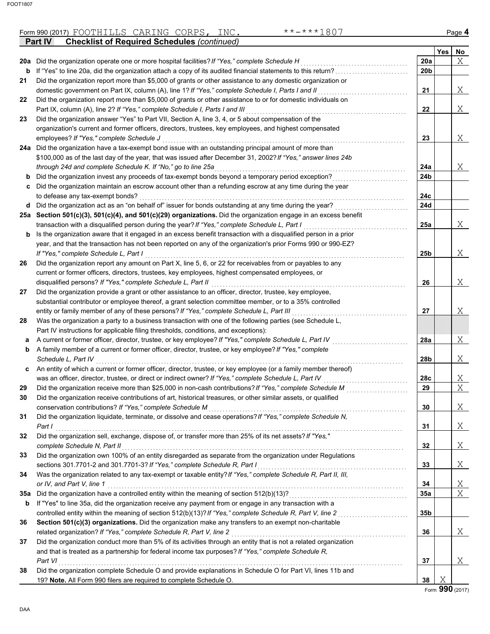|     | **-***1807<br>Form 990 (2017) FOOTHILLS CARING CORPS, INC.                                                       |                 |     | Page 4                |
|-----|------------------------------------------------------------------------------------------------------------------|-----------------|-----|-----------------------|
|     | <b>Checklist of Required Schedules (continued)</b><br>Part IV                                                    |                 |     |                       |
|     |                                                                                                                  |                 | Yes | No                    |
|     | 20a Did the organization operate one or more hospital facilities? If "Yes," complete Schedule H                  | 20a             |     | X                     |
| b   | If "Yes" to line 20a, did the organization attach a copy of its audited financial statements to this return?     | 20 <sub>b</sub> |     |                       |
| 21  | Did the organization report more than \$5,000 of grants or other assistance to any domestic organization or      |                 |     |                       |
|     | domestic government on Part IX, column (A), line 1? If "Yes," complete Schedule I, Parts I and II                | 21              |     | Χ                     |
| 22  | Did the organization report more than \$5,000 of grants or other assistance to or for domestic individuals on    |                 |     |                       |
|     | Part IX, column (A), line 2? If "Yes," complete Schedule I, Parts I and III                                      | 22              |     | Χ                     |
| 23  | Did the organization answer "Yes" to Part VII, Section A, line 3, 4, or 5 about compensation of the              |                 |     |                       |
|     | organization's current and former officers, directors, trustees, key employees, and highest compensated          |                 |     |                       |
|     | employees? If "Yes," complete Schedule J                                                                         | 23              |     | Χ                     |
|     | 24a Did the organization have a tax-exempt bond issue with an outstanding principal amount of more than          |                 |     |                       |
|     | \$100,000 as of the last day of the year, that was issued after December 31, 2002? If "Yes," answer lines 24b    |                 |     |                       |
|     | through 24d and complete Schedule K. If "No," go to line 25a                                                     | 24a             |     | Χ                     |
|     | <b>b</b> Did the organization invest any proceeds of tax-exempt bonds beyond a temporary period exception?       | 24b             |     |                       |
|     | c Did the organization maintain an escrow account other than a refunding escrow at any time during the year      |                 |     |                       |
|     | to defease any tax-exempt bonds?                                                                                 | 24c             |     |                       |
|     | d Did the organization act as an "on behalf of" issuer for bonds outstanding at any time during the year?        | 24d             |     |                       |
|     | 25a Section 501(c)(3), 501(c)(4), and 501(c)(29) organizations. Did the organization engage in an excess benefit |                 |     |                       |
|     | transaction with a disqualified person during the year? If "Yes," complete Schedule L, Part I                    | 25a             |     | Χ                     |
|     | Is the organization aware that it engaged in an excess benefit transaction with a disqualified person in a prior |                 |     |                       |
| b   | year, and that the transaction has not been reported on any of the organization's prior Forms 990 or 990-EZ?     |                 |     |                       |
|     |                                                                                                                  |                 |     |                       |
|     | If "Yes," complete Schedule L, Part I                                                                            | 25b             |     | Χ                     |
| 26  | Did the organization report any amount on Part X, line 5, 6, or 22 for receivables from or payables to any       |                 |     |                       |
|     | current or former officers, directors, trustees, key employees, highest compensated employees, or                |                 |     |                       |
|     | disqualified persons? If "Yes," complete Schedule L, Part II                                                     | 26              |     | Χ                     |
| 27  | Did the organization provide a grant or other assistance to an officer, director, trustee, key employee,         |                 |     |                       |
|     | substantial contributor or employee thereof, a grant selection committee member, or to a 35% controlled          |                 |     |                       |
|     | entity or family member of any of these persons? If "Yes," complete Schedule L, Part III                         | 27              |     | Χ                     |
| 28  | Was the organization a party to a business transaction with one of the following parties (see Schedule L,        |                 |     |                       |
|     | Part IV instructions for applicable filing thresholds, conditions, and exceptions):                              |                 |     |                       |
| а   | A current or former officer, director, trustee, or key employee? If "Yes," complete Schedule L, Part IV          | 28a             |     | Χ                     |
| b   | A family member of a current or former officer, director, trustee, or key employee? If "Yes," complete           |                 |     |                       |
|     | Schedule L, Part IV                                                                                              | 28b             |     | Χ                     |
| C   | An entity of which a current or former officer, director, trustee, or key employee (or a family member thereof)  |                 |     |                       |
|     | was an officer, director, trustee, or direct or indirect owner? If "Yes," complete Schedule L, Part IV           | 28c             |     | Χ                     |
| 29  | Did the organization receive more than \$25,000 in non-cash contributions? If "Yes," complete Schedule M         | 29              |     | $\overline{\text{X}}$ |
| 30  | Did the organization receive contributions of art, historical treasures, or other similar assets, or qualified   |                 |     |                       |
|     | conservation contributions? If "Yes," complete Schedule M                                                        | 30              |     | Χ                     |
| 31  | Did the organization liquidate, terminate, or dissolve and cease operations? If "Yes," complete Schedule N,      |                 |     |                       |
|     | Part I                                                                                                           | 31              |     | Χ                     |
| 32  | Did the organization sell, exchange, dispose of, or transfer more than 25% of its net assets? If "Yes,"          |                 |     |                       |
|     | complete Schedule N, Part II                                                                                     | 32              |     | Χ                     |
| 33  | Did the organization own 100% of an entity disregarded as separate from the organization under Regulations       |                 |     |                       |
|     | sections 301.7701-2 and 301.7701-3? If "Yes," complete Schedule R, Part I                                        | 33              |     | Χ                     |
| 34  | Was the organization related to any tax-exempt or taxable entity? If "Yes," complete Schedule R, Part II, III,   |                 |     |                       |
|     | or IV, and Part V, line 1                                                                                        | 34              |     | <u>X</u>              |
| 35a | Did the organization have a controlled entity within the meaning of section 512(b)(13)?                          | 35a             |     | X                     |
| b   | If "Yes" to line 35a, did the organization receive any payment from or engage in any transaction with a          |                 |     |                       |
|     | controlled entity within the meaning of section 512(b)(13)? If "Yes," complete Schedule R, Part V, line 2        | 35b             |     |                       |
| 36  | Section 501(c)(3) organizations. Did the organization make any transfers to an exempt non-charitable             |                 |     |                       |
|     | related organization? If "Yes," complete Schedule R, Part V, line 2                                              | 36              |     | Χ                     |
| 37  | Did the organization conduct more than 5% of its activities through an entity that is not a related organization |                 |     |                       |
|     | and that is treated as a partnership for federal income tax purposes? If "Yes," complete Schedule R,             |                 |     |                       |
|     | Part VI                                                                                                          | 37              |     | Χ                     |
| 38  | Did the organization complete Schedule O and provide explanations in Schedule O for Part VI, lines 11b and       |                 |     |                       |
|     | 19? Note. All Form 990 filers are required to complete Schedule O.                                               | 38              | Χ   |                       |
|     |                                                                                                                  |                 |     |                       |

Form **990** (2017)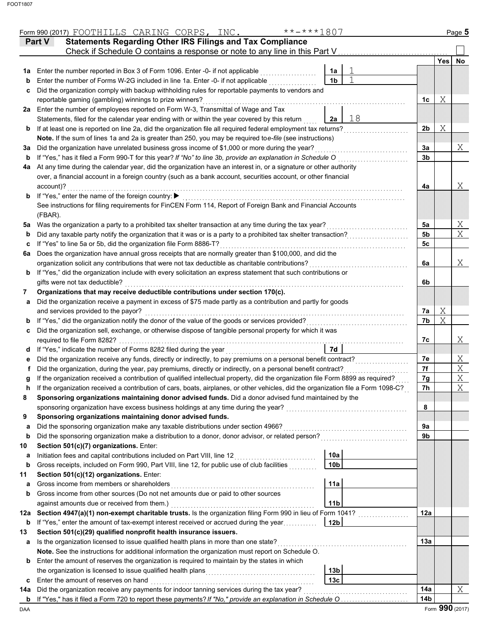|        | Part V    | <b>Statements Regarding Other IRS Filings and Tax Compliance</b><br>Check if Schedule O contains a response or note to any line in this Part V                                               |                      |    |                        |            |                 |
|--------|-----------|----------------------------------------------------------------------------------------------------------------------------------------------------------------------------------------------|----------------------|----|------------------------|------------|-----------------|
|        |           |                                                                                                                                                                                              |                      |    |                        | <b>Yes</b> | No              |
| 1a     |           | Enter the number reported in Box 3 of Form 1096. Enter -0- if not applicable<br>Enter the number of Forms W-2G included in line 1a. Enter -0- if not applicable                              | 1a<br>1 <sub>b</sub> |    |                        |            |                 |
| b<br>c |           | Did the organization comply with backup withholding rules for reportable payments to vendors and                                                                                             |                      |    |                        |            |                 |
|        |           | reportable gaming (gambling) winnings to prize winners?                                                                                                                                      |                      |    | 1c                     | Χ          |                 |
| 2a     |           | Enter the number of employees reported on Form W-3, Transmittal of Wage and Tax                                                                                                              |                      |    |                        |            |                 |
|        |           | Statements, filed for the calendar year ending with or within the year covered by this return                                                                                                | 2a                   | 18 |                        |            |                 |
| b      |           | If at least one is reported on line 2a, did the organization file all required federal employment tax returns?                                                                               |                      |    | 2b                     | Χ          |                 |
|        |           | Note. If the sum of lines 1a and 2a is greater than 250, you may be required toe-file (see instructions)                                                                                     |                      |    |                        |            |                 |
| За     |           | Did the organization have unrelated business gross income of \$1,000 or more during the year?                                                                                                |                      |    | За                     |            | X               |
| b      |           | If "Yes," has it filed a Form 990-T for this year? If "No" to line 3b, provide an explanation in Schedule O                                                                                  |                      |    | 3b                     |            |                 |
| 4a     |           | At any time during the calendar year, did the organization have an interest in, or a signature or other authority                                                                            |                      |    |                        |            |                 |
|        |           | over, a financial account in a foreign country (such as a bank account, securities account, or other financial                                                                               |                      |    |                        |            |                 |
|        | account)? |                                                                                                                                                                                              |                      |    | 4a                     |            | Χ               |
| b      |           | If "Yes," enter the name of the foreign country: ▶                                                                                                                                           |                      |    |                        |            |                 |
|        |           | See instructions for filing requirements for FinCEN Form 114, Report of Foreign Bank and Financial Accounts                                                                                  |                      |    |                        |            |                 |
|        | (FBAR).   |                                                                                                                                                                                              |                      |    |                        |            |                 |
| 5a     |           | Was the organization a party to a prohibited tax shelter transaction at any time during the tax year?                                                                                        |                      |    | 5a                     |            | Χ               |
| b      |           | Did any taxable party notify the organization that it was or is a party to a prohibited tax shelter transaction?                                                                             |                      |    | 5b                     |            | X               |
| c      |           | If "Yes" to line 5a or 5b, did the organization file Form 8886-T?                                                                                                                            |                      |    | 5c                     |            |                 |
| 6a     |           | Does the organization have annual gross receipts that are normally greater than \$100,000, and did the                                                                                       |                      |    |                        |            |                 |
|        |           | organization solicit any contributions that were not tax deductible as charitable contributions?                                                                                             |                      |    | 6a                     |            | X               |
| b      |           | If "Yes," did the organization include with every solicitation an express statement that such contributions or                                                                               |                      |    |                        |            |                 |
|        |           | gifts were not tax deductible?                                                                                                                                                               |                      |    | 6b                     |            |                 |
| 7      |           | Organizations that may receive deductible contributions under section 170(c).<br>Did the organization receive a payment in excess of \$75 made partly as a contribution and partly for goods |                      |    |                        |            |                 |
| а      |           | and services provided to the payor?                                                                                                                                                          |                      |    | 7a                     | Χ          |                 |
| b      |           | If "Yes," did the organization notify the donor of the value of the goods or services provided?                                                                                              |                      |    | 7b                     | Χ          |                 |
| с      |           | Did the organization sell, exchange, or otherwise dispose of tangible personal property for which it was                                                                                     |                      |    |                        |            |                 |
|        |           | required to file Form 8282?                                                                                                                                                                  |                      |    | 7c                     |            | Χ               |
| d      |           | If "Yes," indicate the number of Forms 8282 filed during the year                                                                                                                            | 7d                   |    |                        |            |                 |
| е      |           | Did the organization receive any funds, directly or indirectly, to pay premiums on a personal benefit contract?                                                                              |                      |    | 7e                     |            | Χ               |
|        |           | Did the organization, during the year, pay premiums, directly or indirectly, on a personal benefit contract?                                                                                 |                      |    | 7f                     |            | $\mathbf X$     |
| g      |           | If the organization received a contribution of qualified intellectual property, did the organization file Form 8899 as required?                                                             |                      |    | 7g                     |            | X               |
| h      |           | If the organization received a contribution of cars, boats, airplanes, or other vehicles, did the organization file a Form 1098-C?                                                           |                      |    | 7h                     |            | X               |
|        |           | Sponsoring organizations maintaining donor advised funds. Did a donor advised fund maintained by the                                                                                         |                      |    |                        |            |                 |
|        |           | sponsoring organization have excess business holdings at any time during the year?                                                                                                           |                      |    | 8                      |            |                 |
| 9      |           | Sponsoring organizations maintaining donor advised funds.                                                                                                                                    |                      |    |                        |            |                 |
| a      |           | Did the sponsoring organization make any taxable distributions under section 4966?                                                                                                           |                      |    | 9a                     |            |                 |
| b      |           | Did the sponsoring organization make a distribution to a donor, donor advisor, or related person?                                                                                            |                      |    | 9b                     |            |                 |
| 10     |           | Section 501(c)(7) organizations. Enter:                                                                                                                                                      |                      |    |                        |            |                 |
| а      |           | Initiation fees and capital contributions included on Part VIII, line 12                                                                                                                     | 10a                  |    |                        |            |                 |
| b      |           | Gross receipts, included on Form 990, Part VIII, line 12, for public use of club facilities                                                                                                  | 10 <sub>b</sub>      |    |                        |            |                 |
| 11     |           | Section 501(c)(12) organizations. Enter:                                                                                                                                                     |                      |    |                        |            |                 |
| a      |           | Gross income from members or shareholders                                                                                                                                                    | 11a                  |    |                        |            |                 |
| b      |           | Gross income from other sources (Do not net amounts due or paid to other sources                                                                                                             |                      |    |                        |            |                 |
|        |           | against amounts due or received from them.)                                                                                                                                                  | 11 <sub>b</sub>      |    |                        |            |                 |
| 12a    |           | Section 4947(a)(1) non-exempt charitable trusts. Is the organization filing Form 990 in lieu of Form 1041?                                                                                   |                      |    | 12a                    |            |                 |
| b      |           | If "Yes," enter the amount of tax-exempt interest received or accrued during the year                                                                                                        | 12 <sub>b</sub>      |    |                        |            |                 |
| 13     |           | Section 501(c)(29) qualified nonprofit health insurance issuers.                                                                                                                             |                      |    |                        |            |                 |
| а      |           | Is the organization licensed to issue qualified health plans in more than one state?                                                                                                         |                      |    | 13a                    |            |                 |
|        |           | Note. See the instructions for additional information the organization must report on Schedule O.                                                                                            |                      |    |                        |            |                 |
| b      |           | Enter the amount of reserves the organization is required to maintain by the states in which                                                                                                 |                      |    |                        |            |                 |
|        |           |                                                                                                                                                                                              | 13 <sub>b</sub>      |    |                        |            |                 |
| с      |           | Enter the amount of reserves on hand                                                                                                                                                         | 13 <sub>c</sub>      |    |                        |            |                 |
| 14a    |           | Did the organization receive any payments for indoor tanning services during the tax year?                                                                                                   |                      |    | 14a<br>14 <sub>b</sub> |            | Χ               |
| b      |           | If "Yes," has it filed a Form 720 to report these payments? If "No," provide an explanation in Schedule O                                                                                    |                      |    |                        |            | Form 990 (2017) |

Form 990 (2017) Page **5** FOOTHILLS CARING CORPS, INC. \*\*-\*\*\*1807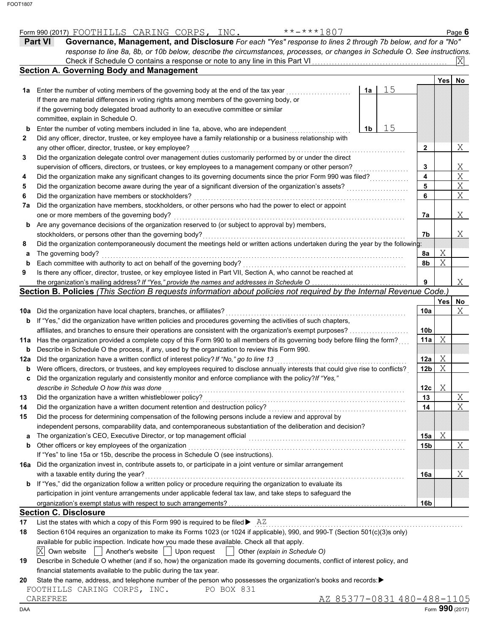|     | <b>Part VI</b><br>Governance, Management, and Disclosure For each "Yes" response to lines 2 through 7b below, and for a "No"                             |    |                 |            |                 |
|-----|----------------------------------------------------------------------------------------------------------------------------------------------------------|----|-----------------|------------|-----------------|
|     | response to line 8a, 8b, or 10b below, describe the circumstances, processes, or changes in Schedule O. See instructions.                                |    |                 |            | ΙXΙ             |
|     | <b>Section A. Governing Body and Management</b>                                                                                                          |    |                 |            |                 |
|     |                                                                                                                                                          |    |                 | Yes        | No              |
| 1a  | Enter the number of voting members of the governing body at the end of the tax year<br>1a                                                                | 15 |                 |            |                 |
|     | If there are material differences in voting rights among members of the governing body, or                                                               |    |                 |            |                 |
|     | if the governing body delegated broad authority to an executive committee or similar                                                                     |    |                 |            |                 |
|     | committee, explain in Schedule O.                                                                                                                        |    |                 |            |                 |
| b   | Enter the number of voting members included in line 1a, above, who are independent<br>1b                                                                 | 15 |                 |            |                 |
| 2   | Did any officer, director, trustee, or key employee have a family relationship or a business relationship with                                           |    |                 |            |                 |
|     | any other officer, director, trustee, or key employee?                                                                                                   |    | 2               |            | Χ               |
| 3   | Did the organization delegate control over management duties customarily performed by or under the direct                                                |    |                 |            |                 |
|     | supervision of officers, directors, or trustees, or key employees to a management company or other person?                                               |    | 3               |            | Χ               |
| 4   | Did the organization make any significant changes to its governing documents since the prior Form 990 was filed?                                         |    | 4               |            | X               |
| 5   | Did the organization become aware during the year of a significant diversion of the organization's assets?                                               |    | 5               |            | Χ               |
| 6   | Did the organization have members or stockholders?                                                                                                       |    | 6               |            | X               |
| 7a  | Did the organization have members, stockholders, or other persons who had the power to elect or appoint                                                  |    |                 |            |                 |
|     | one or more members of the governing body?<br>Are any governance decisions of the organization reserved to (or subject to approval by) members,          |    | 7a              |            | Χ               |
| b   | stockholders, or persons other than the governing body?                                                                                                  |    | 7b              |            | Χ               |
| 8   | Did the organization contemporaneously document the meetings held or written actions undertaken during the year by the following:                        |    |                 |            |                 |
| а   | The governing body?                                                                                                                                      |    | 8a              | Χ          |                 |
| b   | Each committee with authority to act on behalf of the governing body?                                                                                    |    | 8b              | Χ          |                 |
| 9   | Is there any officer, director, trustee, or key employee listed in Part VII, Section A, who cannot be reached at                                         |    |                 |            |                 |
|     | the organization's mailing address? If "Yes," provide the names and addresses in Schedule O                                                              |    | 9               |            | Χ               |
|     | Section B. Policies (This Section B requests information about policies not required by the Internal Revenue Code.)                                      |    |                 |            |                 |
|     |                                                                                                                                                          |    |                 | <b>Yes</b> | No              |
| 10a | Did the organization have local chapters, branches, or affiliates?                                                                                       |    | 10a             |            | Χ               |
| b   | If "Yes," did the organization have written policies and procedures governing the activities of such chapters,                                           |    |                 |            |                 |
|     | affiliates, and branches to ensure their operations are consistent with the organization's exempt purposes?                                              |    | 10 <sub>b</sub> |            |                 |
|     | 11a Has the organization provided a complete copy of this Form 990 to all members of its governing body before filing the form?                          |    | 11a             | Χ          |                 |
| b   | Describe in Schedule O the process, if any, used by the organization to review this Form 990.                                                            |    |                 |            |                 |
| 12a | Did the organization have a written conflict of interest policy? If "No," go to line 13                                                                  |    | 12a             | Χ          |                 |
| b   | Were officers, directors, or trustees, and key employees required to disclose annually interests that could give rise to conflicts?                      |    | 12b             | Χ          |                 |
| c   | Did the organization regularly and consistently monitor and enforce compliance with the policy? If "Yes,"                                                |    |                 |            |                 |
|     | describe in Schedule O how this was done                                                                                                                 |    | 12c             | Χ          |                 |
|     | Did the organization have a written whistleblower policy?                                                                                                |    | 13              |            | $\mathbf X$     |
| 14  | Did the organization have a written document retention and destruction policy?                                                                           |    | 14              |            | Χ               |
| 15  | Did the process for determining compensation of the following persons include a review and approval by                                                   |    |                 |            |                 |
|     | independent persons, comparability data, and contemporaneous substantiation of the deliberation and decision?                                            |    |                 |            |                 |
| a   | The organization's CEO, Executive Director, or top management official                                                                                   |    | 15a             | Χ          |                 |
| b   | Other officers or key employees of the organization                                                                                                      |    | 15b             |            | Χ               |
|     | If "Yes" to line 15a or 15b, describe the process in Schedule O (see instructions).                                                                      |    |                 |            |                 |
| 16а | Did the organization invest in, contribute assets to, or participate in a joint venture or similar arrangement<br>with a taxable entity during the year? |    |                 |            | Χ               |
| b   | If "Yes," did the organization follow a written policy or procedure requiring the organization to evaluate its                                           |    | 16a             |            |                 |
|     | participation in joint venture arrangements under applicable federal tax law, and take steps to safeguard the                                            |    |                 |            |                 |
|     |                                                                                                                                                          |    | 16b             |            |                 |
|     | <b>Section C. Disclosure</b>                                                                                                                             |    |                 |            |                 |
| 17  | List the states with which a copy of this Form 990 is required to be filed $\blacktriangleright$ AZ                                                      |    |                 |            |                 |
| 18  | Section 6104 requires an organization to make its Forms 1023 (or 1024 if applicable), 990, and 990-T (Section 501(c)(3)s only)                           |    |                 |            |                 |
|     | available for public inspection. Indicate how you made these available. Check all that apply.                                                            |    |                 |            |                 |
|     | $ X $ Own website<br>Another's website    <br>Upon request<br>  Other (explain in Schedule O)                                                            |    |                 |            |                 |
| 19  | Describe in Schedule O whether (and if so, how) the organization made its governing documents, conflict of interest policy, and                          |    |                 |            |                 |
|     | financial statements available to the public during the tax year.                                                                                        |    |                 |            |                 |
| 20  | State the name, address, and telephone number of the person who possesses the organization's books and records:▶                                         |    |                 |            |                 |
|     | FOOTHILLS CARING CORPS, INC.<br>PO BOX 831                                                                                                               |    |                 |            |                 |
|     | AZ 85377-0831 480-488-1105<br>CAREFREE                                                                                                                   |    |                 |            |                 |
| DAA |                                                                                                                                                          |    |                 |            | Form 990 (2017) |

Form 990 (2017) Page **6**

FOOTHILLS CARING CORPS, INC. \*\*-\*\*\*1807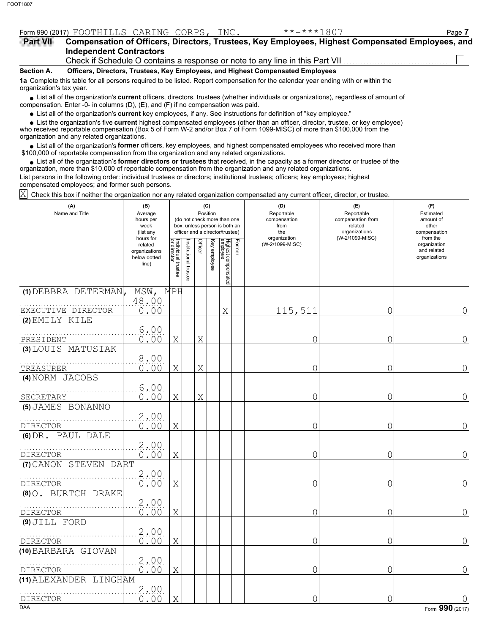|                          | Form 990 (2017) FOOTHILLS CARING CORPS, INC. |  | $***$ $***$ 1807                                                                                                                                                                 | Page 7 |
|--------------------------|----------------------------------------------|--|----------------------------------------------------------------------------------------------------------------------------------------------------------------------------------|--------|
| Part VII                 | <b>Independent Contractors</b>               |  | Compensation of Officers, Directors, Trustees, Key Employees, Highest Compensated Employees, and<br>Check if Schedule O contains a response or note to any line in this Part VII |        |
| Section A.               |                                              |  | Officers, Directors, Trustees, Key Employees, and Highest Compensated Employees                                                                                                  |        |
| organization's tax year. |                                              |  | 1a Complete this table for all persons required to be listed. Report compensation for the calendar year ending with or within the                                                |        |
|                          |                                              |  | • List all of the organization's <b>current</b> officers, directors, trustees (whether individuals or organizations), regardless of amount of                                    |        |

List all of the organization's **current** officers, directors, trustees (whether individuals or organizations), regardless of amount of ● List all of the organization's **current** officers, directors, trustees (whether indi<br>compensation. Enter -0- in columns (D), (E), and (F) if no compensation was paid.

List all of the organization's **current** key employees, if any. See instructions for definition of "key employee."

■ List all of the organization's **current** key employees, if any. See instructions for definition of "key employee."<br>■ List the organization's five **current** highest compensated employees (other than an officer, director,

who received reportable compensation (Box 5 of Form W-2 and/or Box 7 of Form 1099-MISC) of more than \$100,000 from the organization and any related organizations.

• List all of the organization's **former** officers, key employees, and highest compensated employees who received more than<br>00,000 of reportable compensation from the erganization and any related erganizations. \$100,000 of reportable compensation from the organization and any related organizations.

• List all of the organization's **former directors or trustees** that received, in the capacity as a former director or trustee of the principle compared in the cropical and any related errorizations. organization, more than \$10,000 of reportable compensation from the organization and any related organizations. List persons in the following order: individual trustees or directors; institutional trustees; officers; key employees; highest

compensated employees; and former such persons.

 $\overline{X}\!\!\!\!/$  Check this box if neither the organization nor any related organization compensated any current officer, director, or trustee.

| (A)<br>Name and Title                      | (B)<br>Average<br>hours per<br>week<br>(list any               | (C)<br>Position<br>(do not check more than one<br>box, unless person is both an<br>officer and a director/trustee) |                      |         |              |                                 |        | (D)<br>Reportable<br>compensation<br>from<br>the<br>organization | (E)<br>Reportable<br>compensation from<br>related<br>organizations<br>(W-2/1099-MISC) | (F)<br>Estimated<br>amount of<br>other<br>compensation<br>from the |
|--------------------------------------------|----------------------------------------------------------------|--------------------------------------------------------------------------------------------------------------------|----------------------|---------|--------------|---------------------------------|--------|------------------------------------------------------------------|---------------------------------------------------------------------------------------|--------------------------------------------------------------------|
|                                            | hours for<br>related<br>organizations<br>below dotted<br>line) | Individual trustee<br>or director                                                                                  | nstitutional trustee | Officer | Key employee | Highest compensated<br>employee | Former | (W-2/1099-MISC)                                                  |                                                                                       | organization<br>and related<br>organizations                       |
| (1) DEBBRA DETERMAN,<br>EXECUTIVE DIRECTOR | MSW, MPH<br>48.00<br>0.00                                      |                                                                                                                    |                      |         |              | Χ                               |        | 115,511                                                          | 0                                                                                     | 0                                                                  |
| (2) EMILY KILE                             | 6.00                                                           |                                                                                                                    |                      |         |              |                                 |        |                                                                  |                                                                                       |                                                                    |
| PRESIDENT<br>(3) LOUIS MATUSIAK            | 0.00<br>8.00                                                   | Χ                                                                                                                  |                      | Χ       |              |                                 |        | 0                                                                | 0                                                                                     | 0                                                                  |
| TREASURER<br>(4) NORM JACOBS               | 0.00                                                           | Χ                                                                                                                  |                      | X       |              |                                 |        | 0                                                                | 0                                                                                     | 0                                                                  |
| SECRETARY                                  | 6.00<br>0.00                                                   | X                                                                                                                  |                      | X       |              |                                 |        | 0                                                                | 0                                                                                     | 0                                                                  |
| (5) JAMES BONANNO<br>DIRECTOR              | 2.00<br>0.00                                                   | Χ                                                                                                                  |                      |         |              |                                 |        | 0                                                                | 0                                                                                     | 0                                                                  |
| (6) DR. PAUL DALE                          | 2.00                                                           |                                                                                                                    |                      |         |              |                                 |        |                                                                  |                                                                                       |                                                                    |
| DIRECTOR<br>(7) CANON STEVEN DART          | 0.00                                                           | X                                                                                                                  |                      |         |              |                                 |        | 0                                                                | 0                                                                                     | 0                                                                  |
| <b>DIRECTOR</b>                            | 2.00<br>0.00                                                   | Χ                                                                                                                  |                      |         |              |                                 |        | 0                                                                | 0                                                                                     | 0                                                                  |
| (8) O. BURTCH DRAKE<br><b>DIRECTOR</b>     | 2.00<br>0.00                                                   | X                                                                                                                  |                      |         |              |                                 |        | 0                                                                | 0                                                                                     | $\Omega$                                                           |
| (9) JILL FORD<br>DIRECTOR                  | 2,00<br>0.00                                                   | Χ                                                                                                                  |                      |         |              |                                 |        | 0                                                                | $\overline{0}$                                                                        | 0                                                                  |
| (10) BARBARA GIOVAN<br><b>DIRECTOR</b>     | 2.00<br>0.00                                                   | Χ                                                                                                                  |                      |         |              |                                 |        | 0                                                                | 0                                                                                     | 0                                                                  |
| (11) ALEXANDER LINGHAM                     | 2.00                                                           |                                                                                                                    |                      |         |              |                                 |        |                                                                  |                                                                                       |                                                                    |
| DIRECTOR<br><b>DAA</b>                     | 0.00                                                           | X                                                                                                                  |                      |         |              |                                 |        | 0                                                                | 0                                                                                     | Form 990 (2017)                                                    |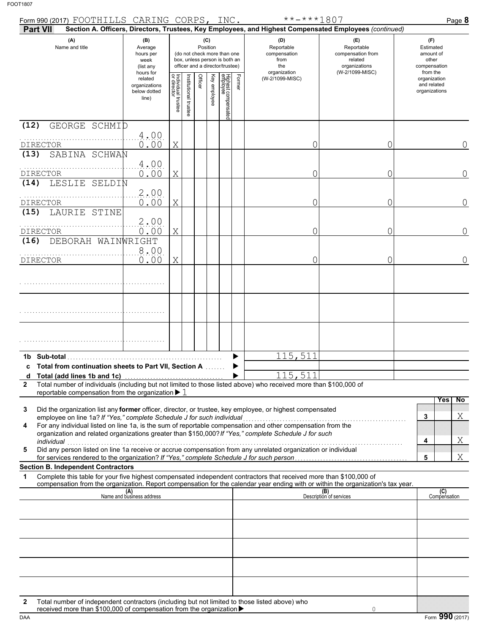| Form 990 (2017) FOOTHILLS CARING CORPS, INC.                                                                                                                                                                                                                                                                                                                                                                                       |                                                                |                                   |                      |                                                                                                                    |              |                                 |        | $******1807$                                                                                           |                                                                    | Page 8                                                   |
|------------------------------------------------------------------------------------------------------------------------------------------------------------------------------------------------------------------------------------------------------------------------------------------------------------------------------------------------------------------------------------------------------------------------------------|----------------------------------------------------------------|-----------------------------------|----------------------|--------------------------------------------------------------------------------------------------------------------|--------------|---------------------------------|--------|--------------------------------------------------------------------------------------------------------|--------------------------------------------------------------------|----------------------------------------------------------|
| <b>Part VII</b>                                                                                                                                                                                                                                                                                                                                                                                                                    |                                                                |                                   |                      |                                                                                                                    |              |                                 |        | Section A. Officers, Directors, Trustees, Key Employees, and Highest Compensated Employees (continued) |                                                                    |                                                          |
| (A)<br>Name and title                                                                                                                                                                                                                                                                                                                                                                                                              | (B)<br>Average<br>hours per<br>week<br>(list any               |                                   |                      | (C)<br>Position<br>(do not check more than one<br>box, unless person is both an<br>officer and a director/trustee) |              |                                 |        | (D)<br>Reportable<br>compensation<br>from<br>the                                                       | (E)<br>Reportable<br>compensation from<br>related<br>organizations | (F)<br>Estimated<br>amount of<br>other<br>compensation   |
|                                                                                                                                                                                                                                                                                                                                                                                                                                    | hours for<br>related<br>organizations<br>below dotted<br>line) | Individual trustee<br>or director | nstitutional trustee | Officer                                                                                                            | Key employee | Highest compensated<br>employee | Former | organization<br>(W-2/1099-MISC)                                                                        | (W-2/1099-MISC)                                                    | from the<br>organization<br>and related<br>organizations |
| (12)<br>GEORGE SCHMID                                                                                                                                                                                                                                                                                                                                                                                                              | 4.00                                                           |                                   |                      |                                                                                                                    |              |                                 |        |                                                                                                        |                                                                    |                                                          |
| <b>DIRECTOR</b><br>SABINA SCHWAN<br>(13)                                                                                                                                                                                                                                                                                                                                                                                           | 0.00                                                           | X                                 |                      |                                                                                                                    |              |                                 |        | O                                                                                                      | Ω                                                                  | $\Omega$                                                 |
| DIRECTOR<br>LESLIE SELDIN<br>(14)                                                                                                                                                                                                                                                                                                                                                                                                  | 4.00<br>0.00                                                   | Χ                                 |                      |                                                                                                                    |              |                                 |        | 0                                                                                                      | Ω                                                                  | $\overline{0}$                                           |
| DIRECTOR                                                                                                                                                                                                                                                                                                                                                                                                                           | 2.00<br>0.00                                                   | Χ                                 |                      |                                                                                                                    |              |                                 |        | Ω                                                                                                      | Ω                                                                  | $\Omega$                                                 |
| LAURIE STINE<br>(15)                                                                                                                                                                                                                                                                                                                                                                                                               | 2.00                                                           |                                   |                      |                                                                                                                    |              |                                 |        |                                                                                                        |                                                                    |                                                          |
| <b>DIRECTOR</b><br>DEBORAH WAINWRIGHT<br>(16)                                                                                                                                                                                                                                                                                                                                                                                      | 0.00                                                           | X                                 |                      |                                                                                                                    |              |                                 |        | Ω                                                                                                      | Ω                                                                  | $\Omega$                                                 |
| <b>DIRECTOR</b>                                                                                                                                                                                                                                                                                                                                                                                                                    | 8.00<br>0.00                                                   | X                                 |                      |                                                                                                                    |              |                                 |        | O                                                                                                      | Ω                                                                  | $\overline{0}$                                           |
|                                                                                                                                                                                                                                                                                                                                                                                                                                    |                                                                |                                   |                      |                                                                                                                    |              |                                 |        |                                                                                                        |                                                                    |                                                          |
|                                                                                                                                                                                                                                                                                                                                                                                                                                    |                                                                |                                   |                      |                                                                                                                    |              |                                 |        |                                                                                                        |                                                                    |                                                          |
|                                                                                                                                                                                                                                                                                                                                                                                                                                    |                                                                |                                   |                      |                                                                                                                    |              |                                 |        |                                                                                                        |                                                                    |                                                          |
| 1b Sub-total<br>Total from continuation sheets to Part VII, Section A                                                                                                                                                                                                                                                                                                                                                              |                                                                |                                   |                      |                                                                                                                    |              |                                 |        | 115,511                                                                                                |                                                                    |                                                          |
| Total (add lines 1b and 1c)<br>a                                                                                                                                                                                                                                                                                                                                                                                                   |                                                                |                                   |                      |                                                                                                                    |              |                                 |        | 115,511                                                                                                |                                                                    |                                                          |
| Total number of individuals (including but not limited to those listed above) who received more than \$100,000 of<br>$\mathbf{2}$<br>reportable compensation from the organization $\blacktriangleright$ 1                                                                                                                                                                                                                         |                                                                |                                   |                      |                                                                                                                    |              |                                 |        |                                                                                                        |                                                                    |                                                          |
| Did the organization list any former officer, director, or trustee, key employee, or highest compensated<br>3<br>employee on line 1a? If "Yes," complete Schedule J for such individual<br>For any individual listed on line 1a, is the sum of reportable compensation and other compensation from the<br>4<br>organization and related organizations greater than \$150,000? If "Yes," complete Schedule J for such<br>individual |                                                                |                                   |                      |                                                                                                                    |              |                                 |        |                                                                                                        |                                                                    | No<br><b>Yes</b><br>Χ<br>3<br>Χ<br>4                     |
| Did any person listed on line 1a receive or accrue compensation from any unrelated organization or individual<br>5<br>for services rendered to the organization? If "Yes," complete Schedule J for such person                                                                                                                                                                                                                     |                                                                |                                   |                      |                                                                                                                    |              |                                 |        |                                                                                                        |                                                                    | Χ<br>5                                                   |
| <b>Section B. Independent Contractors</b><br>Complete this table for your five highest compensated independent contractors that received more than \$100,000 of<br>1                                                                                                                                                                                                                                                               |                                                                |                                   |                      |                                                                                                                    |              |                                 |        |                                                                                                        |                                                                    |                                                          |
| compensation from the organization. Report compensation for the calendar year ending with or within the organization's tax year.                                                                                                                                                                                                                                                                                                   |                                                                |                                   |                      |                                                                                                                    |              |                                 |        |                                                                                                        |                                                                    |                                                          |
|                                                                                                                                                                                                                                                                                                                                                                                                                                    | (A)<br>Name and business address                               |                                   |                      |                                                                                                                    |              |                                 |        |                                                                                                        | (B)<br>Description of services                                     | (C)<br>Compensation                                      |
|                                                                                                                                                                                                                                                                                                                                                                                                                                    |                                                                |                                   |                      |                                                                                                                    |              |                                 |        |                                                                                                        |                                                                    |                                                          |
|                                                                                                                                                                                                                                                                                                                                                                                                                                    |                                                                |                                   |                      |                                                                                                                    |              |                                 |        |                                                                                                        |                                                                    |                                                          |
|                                                                                                                                                                                                                                                                                                                                                                                                                                    |                                                                |                                   |                      |                                                                                                                    |              |                                 |        |                                                                                                        |                                                                    |                                                          |
|                                                                                                                                                                                                                                                                                                                                                                                                                                    |                                                                |                                   |                      |                                                                                                                    |              |                                 |        |                                                                                                        |                                                                    |                                                          |
| Total number of independent contractors (including but not limited to those listed above) who<br>2<br>received more than \$100,000 of compensation from the organization ▶                                                                                                                                                                                                                                                         |                                                                |                                   |                      |                                                                                                                    |              |                                 |        |                                                                                                        | 0                                                                  |                                                          |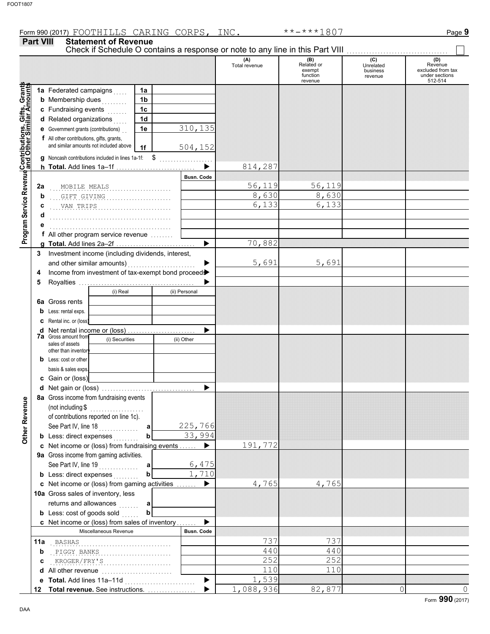**Part VIII Statement of Revenue**

## (A) (B) (C) (D)<br>Total revenue Related or Unrelated Reven Total revenue Related or Unrelated Revenue excluded from tax exempt business function revenue under sections 512-514 revenue Gifts, Grants<br>ilar Amounts **Contributions, Gifts, Grants and Other Similar Amounts 1a** Federated campaigns . . . . . **1a 1b b** Membership dues <sub>. . .</sub> . . . . . **1c c** Fundraising events **.** . . . . . **1d d** Related organizations . . . . . Program Service Revenue Contributions,<br>Mogram Service Revenue and Other Sim 310,135 **1e e** Government grants (contributions) . . **f** All other contributions, gifts, grants, and similar amounts not included above 504,152 **1f g** Noncash contributions included in lines 1a-1f: \$ . . . . . . . . . . . . . . . . . . . 814,287  $\blacksquare$ **h Total.** Add lines 1a–1f . . . . . . . . . . . . . . . . . . . . . . . . . . . . **Program Service Revenue Busn. Code** . . . . . . . . . . . . . . . . . . . . . . . . . . . . . . . . . . . . . . . . . . . MOBILE MEALS 56,119 56,119 **2a** . . . . . . . . . . . . . . . . . . . . . . . . . . . . . . . . . . . . . . . . . . . GIFT GIVING 8,630 8,630 **b** . . . . . . . . . . . . . . . . . . . . . . . . . . . . . . . . . . . . . . . . . . . VAN TRIPS 6,133 6,133 **c d** . . . . . . . . . . . . . . . . . . . . . . . . . . . . . . . . . . . . . . . . . . . **e** . . . . . . . . . . . . . . . . . . . . . . . . . . . . . . . . . . . . . . . . . . . **f** All other program service revenue . . . . . . . . 70,882 **g Total.** Add lines 2a–2f . . . . . . . . . . . . . . . . . . . . . . . . . . . . **3** Investment income (including dividends, interest, 5,691 5,691 and other similar amounts)  $\blacksquare$ **4** Income from investment of tax-exempt bond proceed $\blacktriangleright$ **5** Royalties ... ▶ (i) Real (ii) Personal **6a** Gross rents **b** Less: rental exps. **c** Rental inc. or (loss)  $\blacktriangleright$ **d** Net rental income or (loss) . . . . . . . . . . . . . . . . . . . . . . . . **7a** Gross amount from (i) Securities (ii) Other sales of assets other than inventor **b** Less: cost or other basis & sales exps. **c** Gain or (loss) **d** Net gain or (loss) . . . . . . . . . . . . . . . . . . . . . . . . . . . . . . . . . **8a** Gross income from fundraising events Other Revenue **Other Revenue** (not including \$ . . . . . . . . . . . . . . . . . . . of contributions reported on line 1c). See Part IV, line 18 . . . . . . . . . . . . . . 225,766 **a b** 33,994 **b** Less: direct expenses <sub>.</sub> . . . . . . . 191,772 **c** Net income or (loss) from fundraising events . . . . . . ▶ **9a** Gross income from gaming activities. See Part IV, line 19 . . . . . . . . . . . . . . **a** 6,475 1,710 **b b** Less: direct expenses  $\ldots$ ь 4,765 4,765 **c** Net income or (loss) from gaming activities ....... 10a Gross sales of inventory, less returns and allowances **a b b** Less:  $\cosh$  of goods  $\sinh$  $\blacktriangleright$ Net income or (loss) from sales of inventory . . . . . . . **c** Miscellaneous Revenue **Busn. Code** BASHAS 737 737 **11a** . . . . . . . . . . . . . . . . . . . . . . . . . . . . . . . . . . . . . . . . . . . **b** . . . . . . . . . . . . . . . . . . . . . . . . . . . . . . . . . . . . . . . . . . . PIGGY BANKS 440 440 . . . . . . . . . . . . . . . . . . . . . . . . . . . . . . . . . . . . . . . . . . . KROGER/FRY'S 252 252 **c** 110 110 **d** All other revenue .........................  $\blacktriangleright$ 1,539 **e Total.** Add lines 11a–11d . . . . . . . . . . . . . . . . . . . . . . . . . 1,088,936 82,877 0 0 0 ь **Total revenue.** See instructions. . . . . . . . . . . . . . . . . . **12**

Check if Schedule O contains a response or note to any line in this Part VIII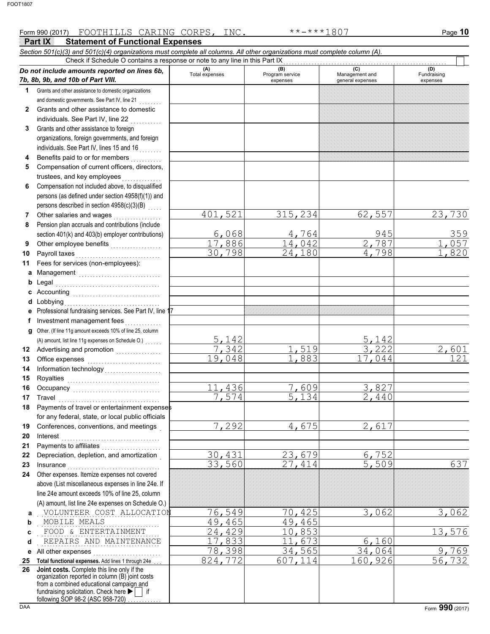|          | Part IX<br><b>Statement of Functional Expenses</b>                                                                                                                                                                                                                                                                                                                                                                                                                                                                                                                                                     |                       |                                    |                                           |                                |
|----------|--------------------------------------------------------------------------------------------------------------------------------------------------------------------------------------------------------------------------------------------------------------------------------------------------------------------------------------------------------------------------------------------------------------------------------------------------------------------------------------------------------------------------------------------------------------------------------------------------------|-----------------------|------------------------------------|-------------------------------------------|--------------------------------|
|          | Section 501(c)(3) and 501(c)(4) organizations must complete all columns. All other organizations must complete column (A).                                                                                                                                                                                                                                                                                                                                                                                                                                                                             |                       |                                    |                                           |                                |
|          | Check if Schedule O contains a response or note to any line in this Part IX                                                                                                                                                                                                                                                                                                                                                                                                                                                                                                                            |                       |                                    |                                           |                                |
|          | Do not include amounts reported on lines 6b,<br>7b, 8b, 9b, and 10b of Part VIII.                                                                                                                                                                                                                                                                                                                                                                                                                                                                                                                      | (A)<br>Total expenses | (B)<br>Program service<br>expenses | (C)<br>Management and<br>general expenses | (D)<br>Fundraising<br>expenses |
| 1.       | Grants and other assistance to domestic organizations                                                                                                                                                                                                                                                                                                                                                                                                                                                                                                                                                  |                       |                                    |                                           |                                |
|          | and domestic governments. See Part IV, line 21                                                                                                                                                                                                                                                                                                                                                                                                                                                                                                                                                         |                       |                                    |                                           |                                |
| 2        | Grants and other assistance to domestic                                                                                                                                                                                                                                                                                                                                                                                                                                                                                                                                                                |                       |                                    |                                           |                                |
|          | individuals. See Part IV, line 22                                                                                                                                                                                                                                                                                                                                                                                                                                                                                                                                                                      |                       |                                    |                                           |                                |
| 3        | Grants and other assistance to foreign                                                                                                                                                                                                                                                                                                                                                                                                                                                                                                                                                                 |                       |                                    |                                           |                                |
|          | organizations, foreign governments, and foreign                                                                                                                                                                                                                                                                                                                                                                                                                                                                                                                                                        |                       |                                    |                                           |                                |
|          | individuals. See Part IV, lines 15 and 16<br>se se se se                                                                                                                                                                                                                                                                                                                                                                                                                                                                                                                                               |                       |                                    |                                           |                                |
| 4        | Benefits paid to or for members<br>.                                                                                                                                                                                                                                                                                                                                                                                                                                                                                                                                                                   |                       |                                    |                                           |                                |
| 5        | Compensation of current officers, directors,                                                                                                                                                                                                                                                                                                                                                                                                                                                                                                                                                           |                       |                                    |                                           |                                |
|          | trustees, and key employees                                                                                                                                                                                                                                                                                                                                                                                                                                                                                                                                                                            |                       |                                    |                                           |                                |
| 6        | Compensation not included above, to disqualified                                                                                                                                                                                                                                                                                                                                                                                                                                                                                                                                                       |                       |                                    |                                           |                                |
|          | persons (as defined under section 4958(f)(1)) and                                                                                                                                                                                                                                                                                                                                                                                                                                                                                                                                                      |                       |                                    |                                           |                                |
|          | persons described in section 4958(c)(3)(B)                                                                                                                                                                                                                                                                                                                                                                                                                                                                                                                                                             |                       |                                    |                                           |                                |
| 7        | Other salaries and wages                                                                                                                                                                                                                                                                                                                                                                                                                                                                                                                                                                               | 521<br>401            | 315, 234                           | 62,557                                    | 23,730                         |
| 8        | Pension plan accruals and contributions (include                                                                                                                                                                                                                                                                                                                                                                                                                                                                                                                                                       |                       |                                    |                                           |                                |
|          | section 401(k) and 403(b) employer contributions)                                                                                                                                                                                                                                                                                                                                                                                                                                                                                                                                                      | 6,068                 | 4,764<br>14,042                    | 945<br>$\overline{2}$<br>787              | 359<br>057                     |
| 9        | Other employee benefits                                                                                                                                                                                                                                                                                                                                                                                                                                                                                                                                                                                | 17,886<br>30,798      | 24,180                             | 4,798                                     | ,820                           |
| 10<br>11 | Payroll taxes                                                                                                                                                                                                                                                                                                                                                                                                                                                                                                                                                                                          |                       |                                    |                                           |                                |
|          | Fees for services (non-employees):                                                                                                                                                                                                                                                                                                                                                                                                                                                                                                                                                                     |                       |                                    |                                           |                                |
| a<br>b   | Management<br>Legal                                                                                                                                                                                                                                                                                                                                                                                                                                                                                                                                                                                    |                       |                                    |                                           |                                |
| c        |                                                                                                                                                                                                                                                                                                                                                                                                                                                                                                                                                                                                        |                       |                                    |                                           |                                |
| d        | Lobbying                                                                                                                                                                                                                                                                                                                                                                                                                                                                                                                                                                                               |                       |                                    |                                           |                                |
| е        | Professional fundraising services. See Part IV, line 17                                                                                                                                                                                                                                                                                                                                                                                                                                                                                                                                                |                       |                                    |                                           |                                |
| f        | Investment management fees                                                                                                                                                                                                                                                                                                                                                                                                                                                                                                                                                                             |                       |                                    |                                           |                                |
| g        | Other. (If line 11g amount exceeds 10% of line 25, column                                                                                                                                                                                                                                                                                                                                                                                                                                                                                                                                              |                       |                                    |                                           |                                |
|          |                                                                                                                                                                                                                                                                                                                                                                                                                                                                                                                                                                                                        | 5,142                 |                                    | 5,142                                     |                                |
| 12       | Advertising and promotion                                                                                                                                                                                                                                                                                                                                                                                                                                                                                                                                                                              | 7,342                 | 519                                | 3,222                                     | 2,601                          |
| 13       |                                                                                                                                                                                                                                                                                                                                                                                                                                                                                                                                                                                                        | 19,048                | 1,883                              | 17,044                                    | 121                            |
| 14       | Information technology<br>                                                                                                                                                                                                                                                                                                                                                                                                                                                                                                                                                                             |                       |                                    |                                           |                                |
| 15       |                                                                                                                                                                                                                                                                                                                                                                                                                                                                                                                                                                                                        |                       |                                    |                                           |                                |
| 16       |                                                                                                                                                                                                                                                                                                                                                                                                                                                                                                                                                                                                        | 436                   | 7,609                              | 3,827                                     |                                |
|          | 17 Travel                                                                                                                                                                                                                                                                                                                                                                                                                                                                                                                                                                                              | 7,574                 | 134                                | 2,440                                     |                                |
| 18       | Payments of travel or entertainment expenses                                                                                                                                                                                                                                                                                                                                                                                                                                                                                                                                                           |                       |                                    |                                           |                                |
|          | for any federal, state, or local public officials                                                                                                                                                                                                                                                                                                                                                                                                                                                                                                                                                      |                       |                                    |                                           |                                |
| 19       | Conferences, conventions, and meetings                                                                                                                                                                                                                                                                                                                                                                                                                                                                                                                                                                 | 7,292                 | 4,675                              | 2,617                                     |                                |
| 20       | Interest                                                                                                                                                                                                                                                                                                                                                                                                                                                                                                                                                                                               |                       |                                    |                                           |                                |
| 21       |                                                                                                                                                                                                                                                                                                                                                                                                                                                                                                                                                                                                        |                       |                                    |                                           |                                |
| 22       | Depreciation, depletion, and amortization                                                                                                                                                                                                                                                                                                                                                                                                                                                                                                                                                              | 30,431                | 23,679                             | 6,752                                     |                                |
| 23       | $In surface \begin{equation} \begin{equation} \begin{bmatrix} \text{maximize} \end{bmatrix} \end{equation} \begin{equation} \begin{bmatrix} \text{maximize} \end{bmatrix} \end{equation} \begin{equation} \begin{bmatrix} \text{maximize} \end{bmatrix} \end{equation} \begin{equation} \begin{bmatrix} \text{maximize} \end{bmatrix} \end{equation} \begin{equation} \begin{bmatrix} \text{maximize} \end{bmatrix} \end{equation} \begin{equation} \begin{bmatrix} \text{maximize} \end{bmatrix} \end{equation} \begin{equation} \begin{bmatrix} \text{maximize} \end{bmatrix} \end{equation} \begin$ | 33,560                | 27,414                             | 5,509                                     | 637                            |
| 24       | Other expenses. Itemize expenses not covered                                                                                                                                                                                                                                                                                                                                                                                                                                                                                                                                                           |                       |                                    |                                           |                                |
|          | above (List miscellaneous expenses in line 24e. If                                                                                                                                                                                                                                                                                                                                                                                                                                                                                                                                                     |                       |                                    |                                           |                                |
|          | line 24e amount exceeds 10% of line 25, column                                                                                                                                                                                                                                                                                                                                                                                                                                                                                                                                                         |                       |                                    |                                           |                                |
|          | (A) amount, list line 24e expenses on Schedule O.)<br>VOLUNTEER COST ALLOCATION                                                                                                                                                                                                                                                                                                                                                                                                                                                                                                                        |                       |                                    |                                           |                                |
| a<br>b   | MOBILE MEALS                                                                                                                                                                                                                                                                                                                                                                                                                                                                                                                                                                                           | 76,549<br>49,465      | 70,425<br>49,465                   | 3,062                                     | 3,062                          |
| C        | FOOD & ENTERTAINMENT                                                                                                                                                                                                                                                                                                                                                                                                                                                                                                                                                                                   | 24,429                | 10,853                             |                                           | 13,576                         |
| d        | REPAIRS AND MAINTENANCE                                                                                                                                                                                                                                                                                                                                                                                                                                                                                                                                                                                | 17,833                | ,673<br>11                         | 6,160                                     |                                |
| е        | All other expenses                                                                                                                                                                                                                                                                                                                                                                                                                                                                                                                                                                                     | 78,398                | 34,565                             | 34,064                                    | 9,769                          |
| 25       | Total functional expenses. Add lines 1 through 24e                                                                                                                                                                                                                                                                                                                                                                                                                                                                                                                                                     | 824, 772              | 607,114                            | 160,926                                   | 56,732                         |
| 26       | Joint costs. Complete this line only if the                                                                                                                                                                                                                                                                                                                                                                                                                                                                                                                                                            |                       |                                    |                                           |                                |
|          | organization reported in column (B) joint costs<br>from a combined educational campaign and                                                                                                                                                                                                                                                                                                                                                                                                                                                                                                            |                       |                                    |                                           |                                |
|          | fundraising solicitation. Check here ▶     if<br>following SOP 98-2 (ASC 958-720)                                                                                                                                                                                                                                                                                                                                                                                                                                                                                                                      |                       |                                    |                                           |                                |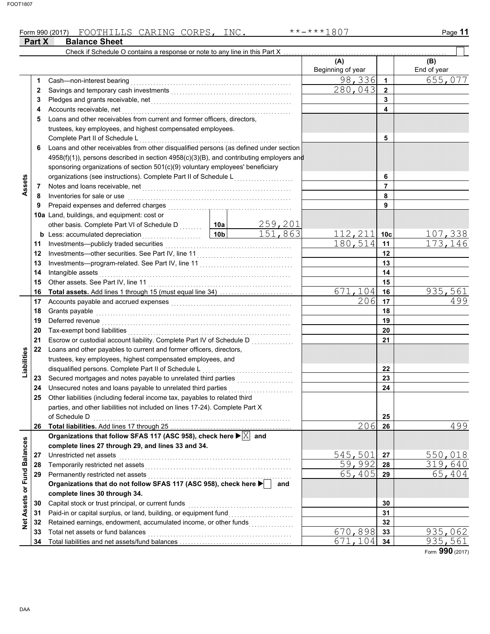## Form 990 (2017) Page **11 Part X** Balance Sheet FOOTHILLS CARING CORPS, INC. \*\*-\*\*\*1807

|                 |          | Check if Schedule O contains a response or note to any line in this Part X                                                                                                                                                           |                 |         |                          |                 |                    |
|-----------------|----------|--------------------------------------------------------------------------------------------------------------------------------------------------------------------------------------------------------------------------------------|-----------------|---------|--------------------------|-----------------|--------------------|
|                 |          |                                                                                                                                                                                                                                      |                 |         | (A)<br>Beginning of year |                 | (B)<br>End of year |
|                 | 1        | Cash-non-interest bearing                                                                                                                                                                                                            |                 |         | 98,336                   | $\overline{1}$  | 655,077            |
|                 | 2        |                                                                                                                                                                                                                                      |                 |         | 280,043                  | $\mathbf{2}$    |                    |
|                 | 3        | Pledges and grants receivable, net <b>Constanting the Constantine Constantine Constantine Constantine Constantine Constantine Constantine Constantine Constantine Constantine Constantine Constantine Constantine Constantine Co</b> |                 |         |                          | 3               |                    |
|                 | 4        | Accounts receivable, net                                                                                                                                                                                                             |                 |         |                          | 4               |                    |
|                 | 5        | Loans and other receivables from current and former officers, directors,                                                                                                                                                             |                 |         |                          |                 |                    |
|                 |          | trustees, key employees, and highest compensated employees.                                                                                                                                                                          |                 |         |                          |                 |                    |
|                 |          | Complete Part II of Schedule L                                                                                                                                                                                                       |                 |         |                          | 5               |                    |
|                 | 6        | Loans and other receivables from other disqualified persons (as defined under section                                                                                                                                                |                 |         |                          |                 |                    |
|                 |          | 4958(f)(1)), persons described in section 4958(c)(3)(B), and contributing employers and                                                                                                                                              |                 |         |                          |                 |                    |
|                 |          | sponsoring organizations of section 501(c)(9) voluntary employees' beneficiary                                                                                                                                                       |                 |         |                          |                 |                    |
|                 |          | organizations (see instructions). Complete Part II of Schedule L                                                                                                                                                                     |                 | 6       |                          |                 |                    |
| Assets          | 7        |                                                                                                                                                                                                                                      |                 |         |                          | $\overline{7}$  |                    |
|                 | 8        | Inventories for sale or use                                                                                                                                                                                                          |                 | 8       |                          |                 |                    |
|                 | 9        |                                                                                                                                                                                                                                      |                 |         |                          | 9               |                    |
|                 |          | 10a Land, buildings, and equipment: cost or                                                                                                                                                                                          |                 |         |                          |                 |                    |
|                 |          | other basis. Complete Part VI of Schedule D  10a                                                                                                                                                                                     |                 | 259,201 |                          |                 |                    |
|                 |          | <b>b</b> Less: accumulated depreciation                                                                                                                                                                                              | 10 <sub>b</sub> | 151,863 | 112,211                  | 10 <sub>c</sub> | 107,338            |
|                 | 11       | .                                                                                                                                                                                                                                    |                 |         | 180,514                  | 11              | 173,146            |
|                 | 12       |                                                                                                                                                                                                                                      |                 |         |                          | 12              |                    |
|                 | 13       |                                                                                                                                                                                                                                      |                 |         | 13                       |                 |                    |
|                 | 14       | Intangible assets                                                                                                                                                                                                                    |                 |         |                          | 14              |                    |
|                 | 15       |                                                                                                                                                                                                                                      |                 | 15      |                          |                 |                    |
|                 |          | Total assets. Add lines 1 through 15 (must equal line 34)                                                                                                                                                                            |                 |         | 671,104                  | 16              | 935,561            |
|                 | 16<br>17 |                                                                                                                                                                                                                                      |                 |         | 206                      | 17              | 499                |
|                 |          |                                                                                                                                                                                                                                      |                 |         |                          | 18              |                    |
|                 | 18       | Grants payable                                                                                                                                                                                                                       |                 |         |                          |                 |                    |
|                 | 19       |                                                                                                                                                                                                                                      |                 |         | 19<br>20                 |                 |                    |
|                 | 20       |                                                                                                                                                                                                                                      |                 |         |                          |                 |                    |
|                 | 21       |                                                                                                                                                                                                                                      |                 |         |                          | 21              |                    |
| Liabilities     | 22       | Loans and other payables to current and former officers, directors,                                                                                                                                                                  |                 |         |                          |                 |                    |
|                 |          | trustees, key employees, highest compensated employees, and                                                                                                                                                                          |                 |         |                          |                 |                    |
|                 |          | disqualified persons. Complete Part II of Schedule L                                                                                                                                                                                 |                 |         |                          | 22              |                    |
|                 | 23       |                                                                                                                                                                                                                                      |                 |         |                          | 23              |                    |
|                 | 24       | Unsecured notes and loans payable to unrelated third parties                                                                                                                                                                         |                 | .       |                          | 24              |                    |
|                 | 25       | Other liabilities (including federal income tax, payables to related third                                                                                                                                                           |                 |         |                          |                 |                    |
|                 |          | parties, and other liabilities not included on lines 17-24). Complete Part X                                                                                                                                                         |                 |         |                          |                 |                    |
|                 |          |                                                                                                                                                                                                                                      |                 |         |                          | 25              |                    |
|                 | 26       |                                                                                                                                                                                                                                      |                 |         | 206                      | -26             | 499                |
|                 |          | Organizations that follow SFAS 117 (ASC 958), check here $\blacktriangleright$ $ X $ and                                                                                                                                             |                 |         |                          |                 |                    |
|                 |          | complete lines 27 through 29, and lines 33 and 34.                                                                                                                                                                                   |                 |         |                          |                 |                    |
| <b>Balances</b> | 27       | Unrestricted net assets                                                                                                                                                                                                              |                 |         | 545,501                  | 27              | 550,018            |
|                 | 28       | Temporarily restricted net assets                                                                                                                                                                                                    |                 |         | 59,992                   | 28              | 319,640            |
| or Fund         | 29       | Permanently restricted net assets                                                                                                                                                                                                    |                 |         | 65,405                   | 29              | 65,404             |
|                 |          | Organizations that do not follow SFAS 117 (ASC 958), check here                                                                                                                                                                      |                 | and     |                          |                 |                    |
|                 |          | complete lines 30 through 34.                                                                                                                                                                                                        |                 |         |                          |                 |                    |
| Assets          | 30       | Capital stock or trust principal, or current funds                                                                                                                                                                                   |                 |         |                          | 30              |                    |
|                 | 31       | Paid-in or capital surplus, or land, building, or equipment fund                                                                                                                                                                     |                 |         |                          | 31              |                    |
| $\frac{1}{2}$   | 32       | Retained earnings, endowment, accumulated income, or other funds                                                                                                                                                                     |                 |         |                          | 32              |                    |
|                 | 33       | Total net assets or fund balances                                                                                                                                                                                                    |                 |         | 670,898                  | 33              | 935,062            |
|                 | 34       |                                                                                                                                                                                                                                      |                 |         | 671,104                  | 34              | 935,561            |

Form **990** (2017)